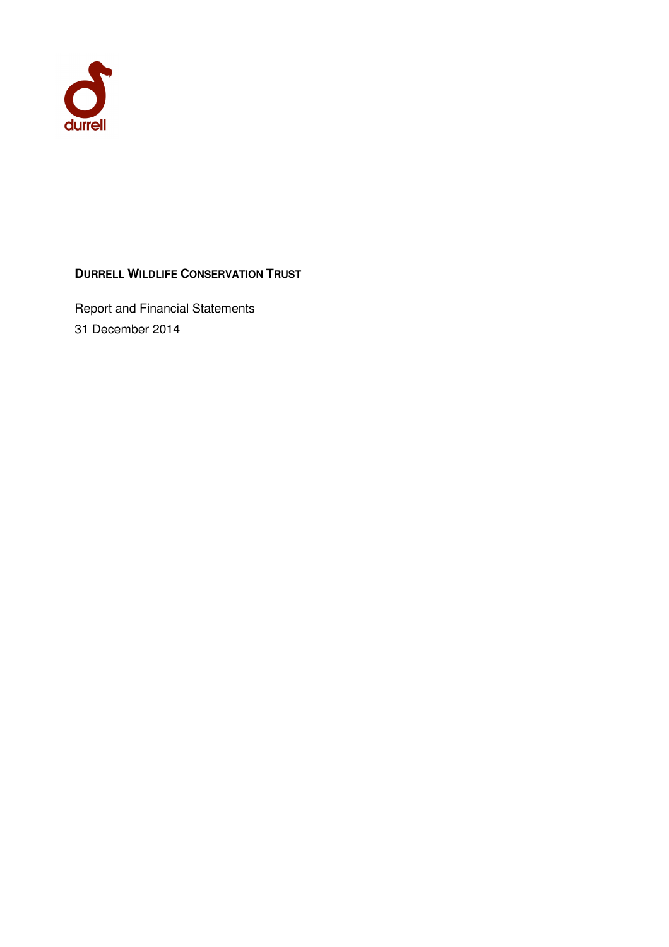

# **DURRELL WILDLIFE CONSERVATION TRUST**

Report and Financial Statements 31 December 2014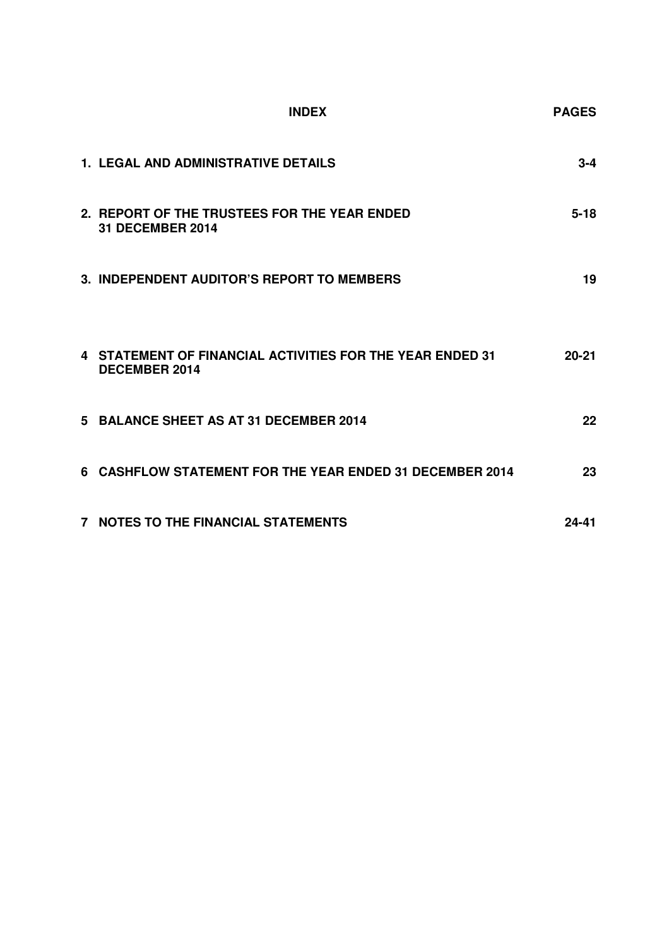| <b>INDEX</b>                                                                      | <b>PAGES</b> |
|-----------------------------------------------------------------------------------|--------------|
| <b>1. LEGAL AND ADMINISTRATIVE DETAILS</b>                                        | $3 - 4$      |
| 2. REPORT OF THE TRUSTEES FOR THE YEAR ENDED<br><b>31 DECEMBER 2014</b>           | $5 - 18$     |
| 3. INDEPENDENT AUDITOR'S REPORT TO MEMBERS                                        | 19           |
| 4 STATEMENT OF FINANCIAL ACTIVITIES FOR THE YEAR ENDED 31<br><b>DECEMBER 2014</b> | $20 - 21$    |
| 5 BALANCE SHEET AS AT 31 DECEMBER 2014                                            | 22           |
| 6 CASHFLOW STATEMENT FOR THE YEAR ENDED 31 DECEMBER 2014                          | 23           |
| 7 NOTES TO THE FINANCIAL STATEMENTS                                               | 24-41        |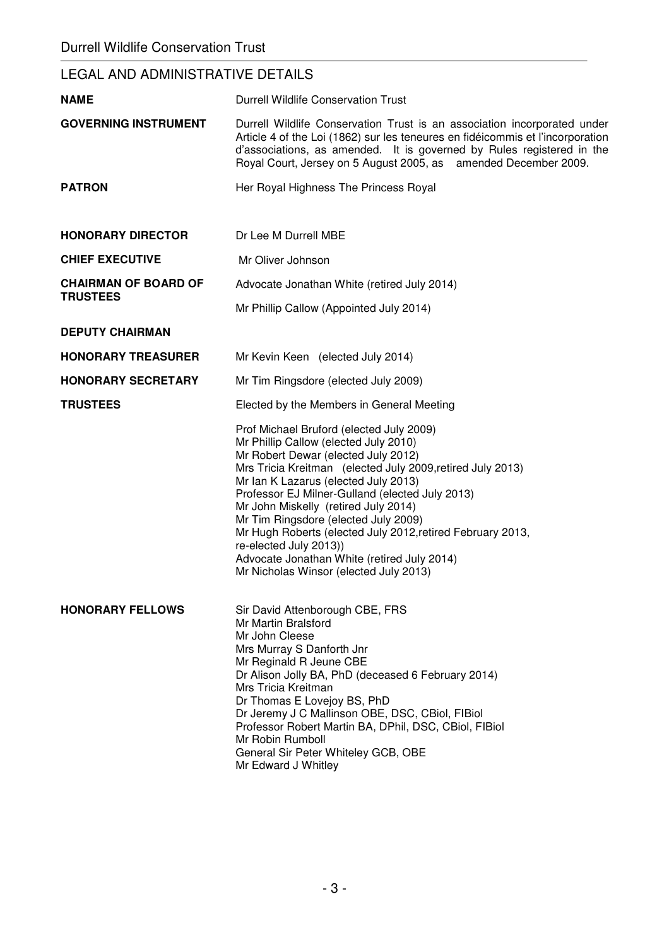# LEGAL AND ADMINISTRATIVE DETAILS

| <b>NAME</b>                 | Durrell Wildlife Conservation Trust                                                                                                                                                                                                                                                                                                                                                                                                                                                                                                                |
|-----------------------------|----------------------------------------------------------------------------------------------------------------------------------------------------------------------------------------------------------------------------------------------------------------------------------------------------------------------------------------------------------------------------------------------------------------------------------------------------------------------------------------------------------------------------------------------------|
| <b>GOVERNING INSTRUMENT</b> | Durrell Wildlife Conservation Trust is an association incorporated under<br>Article 4 of the Loi (1862) sur les teneures en fidéicommis et l'incorporation<br>d'associations, as amended. It is governed by Rules registered in the<br>Royal Court, Jersey on 5 August 2005, as amended December 2009.                                                                                                                                                                                                                                             |
| <b>PATRON</b>               | Her Royal Highness The Princess Royal                                                                                                                                                                                                                                                                                                                                                                                                                                                                                                              |
|                             |                                                                                                                                                                                                                                                                                                                                                                                                                                                                                                                                                    |
| <b>HONORARY DIRECTOR</b>    | Dr Lee M Durrell MBE                                                                                                                                                                                                                                                                                                                                                                                                                                                                                                                               |
| <b>CHIEF EXECUTIVE</b>      | Mr Oliver Johnson                                                                                                                                                                                                                                                                                                                                                                                                                                                                                                                                  |
| <b>CHAIRMAN OF BOARD OF</b> | Advocate Jonathan White (retired July 2014)                                                                                                                                                                                                                                                                                                                                                                                                                                                                                                        |
| <b>TRUSTEES</b>             | Mr Phillip Callow (Appointed July 2014)                                                                                                                                                                                                                                                                                                                                                                                                                                                                                                            |
| <b>DEPUTY CHAIRMAN</b>      |                                                                                                                                                                                                                                                                                                                                                                                                                                                                                                                                                    |
| <b>HONORARY TREASURER</b>   | Mr Kevin Keen (elected July 2014)                                                                                                                                                                                                                                                                                                                                                                                                                                                                                                                  |
| <b>HONORARY SECRETARY</b>   | Mr Tim Ringsdore (elected July 2009)                                                                                                                                                                                                                                                                                                                                                                                                                                                                                                               |
| <b>TRUSTEES</b>             | Elected by the Members in General Meeting                                                                                                                                                                                                                                                                                                                                                                                                                                                                                                          |
|                             | Prof Michael Bruford (elected July 2009)<br>Mr Phillip Callow (elected July 2010)<br>Mr Robert Dewar (elected July 2012)<br>Mrs Tricia Kreitman (elected July 2009, retired July 2013)<br>Mr Ian K Lazarus (elected July 2013)<br>Professor EJ Milner-Gulland (elected July 2013)<br>Mr John Miskelly (retired July 2014)<br>Mr Tim Ringsdore (elected July 2009)<br>Mr Hugh Roberts (elected July 2012, retired February 2013,<br>re-elected July 2013))<br>Advocate Jonathan White (retired July 2014)<br>Mr Nicholas Winsor (elected July 2013) |
| <b>HONORARY FELLOWS</b>     | Sir David Attenborough CBE, FRS<br>Mr Martin Bralsford<br>Mr John Cleese<br>Mrs Murray S Danforth Jnr<br>Mr Reginald R Jeune CBE<br>Dr Alison Jolly BA, PhD (deceased 6 February 2014)<br>Mrs Tricia Kreitman<br>Dr Thomas E Lovejoy BS, PhD<br>Dr Jeremy J C Mallinson OBE, DSC, CBiol, FIBiol<br>Professor Robert Martin BA, DPhil, DSC, CBiol, FIBiol<br>Mr Robin Rumboll<br>General Sir Peter Whiteley GCB, OBE<br>Mr Edward J Whitley                                                                                                         |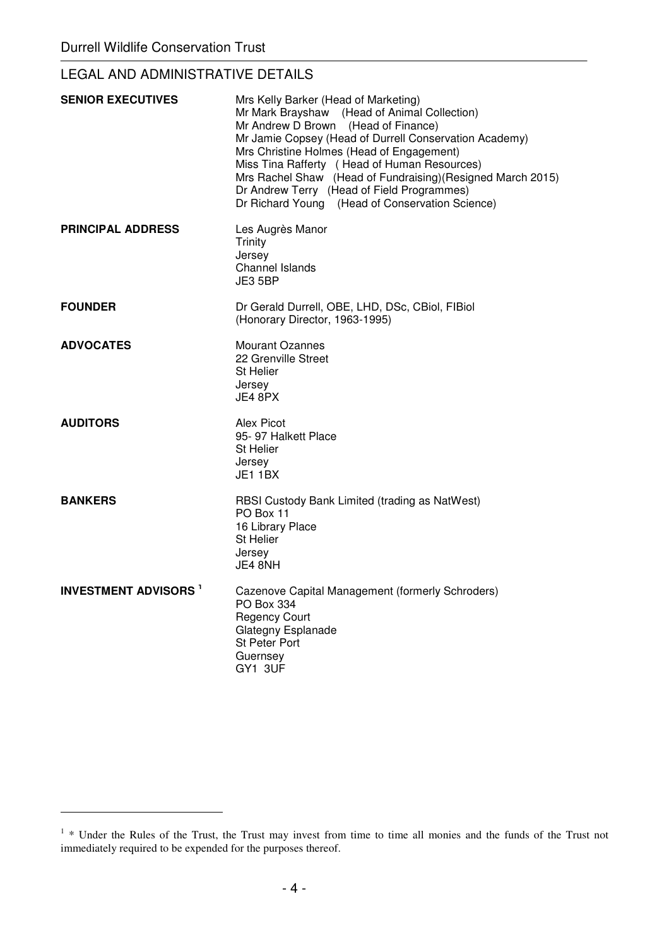# LEGAL AND ADMINISTRATIVE DETAILS

| <b>SENIOR EXECUTIVES</b>                | Mrs Kelly Barker (Head of Marketing)<br>Mr Mark Brayshaw (Head of Animal Collection)<br>Mr Andrew D Brown (Head of Finance)<br>Mr Jamie Copsey (Head of Durrell Conservation Academy)<br>Mrs Christine Holmes (Head of Engagement)<br>Miss Tina Rafferty (Head of Human Resources)<br>Mrs Rachel Shaw (Head of Fundraising) (Resigned March 2015)<br>Dr Andrew Terry (Head of Field Programmes)<br>Dr Richard Young (Head of Conservation Science) |
|-----------------------------------------|----------------------------------------------------------------------------------------------------------------------------------------------------------------------------------------------------------------------------------------------------------------------------------------------------------------------------------------------------------------------------------------------------------------------------------------------------|
| <b>PRINCIPAL ADDRESS</b>                | Les Augrès Manor<br><b>Trinity</b><br>Jersey<br>Channel Islands<br>JE3 5BP                                                                                                                                                                                                                                                                                                                                                                         |
| <b>FOUNDER</b>                          | Dr Gerald Durrell, OBE, LHD, DSc, CBiol, FIBiol<br>(Honorary Director, 1963-1995)                                                                                                                                                                                                                                                                                                                                                                  |
| <b>ADVOCATES</b>                        | <b>Mourant Ozannes</b><br>22 Grenville Street<br>St Helier<br>Jersey<br>JE4 8PX                                                                                                                                                                                                                                                                                                                                                                    |
| <b>AUDITORS</b>                         | <b>Alex Picot</b><br>95-97 Halkett Place<br>St Helier<br>Jersey<br>JE1 1BX                                                                                                                                                                                                                                                                                                                                                                         |
| <b>BANKERS</b>                          | RBSI Custody Bank Limited (trading as NatWest)<br>PO Box 11<br>16 Library Place<br><b>St Helier</b><br>Jersey<br>JE4 8NH                                                                                                                                                                                                                                                                                                                           |
| <b>INVESTMENT ADVISORS</b> <sup>1</sup> | Cazenove Capital Management (formerly Schroders)<br><b>PO Box 334</b><br><b>Regency Court</b><br>Glategny Esplanade<br>St Peter Port<br>Guernsey<br>GY1 3UF                                                                                                                                                                                                                                                                                        |

 $\overline{a}$ 

<sup>&</sup>lt;sup>1</sup> \* Under the Rules of the Trust, the Trust may invest from time to time all monies and the funds of the Trust not immediately required to be expended for the purposes thereof.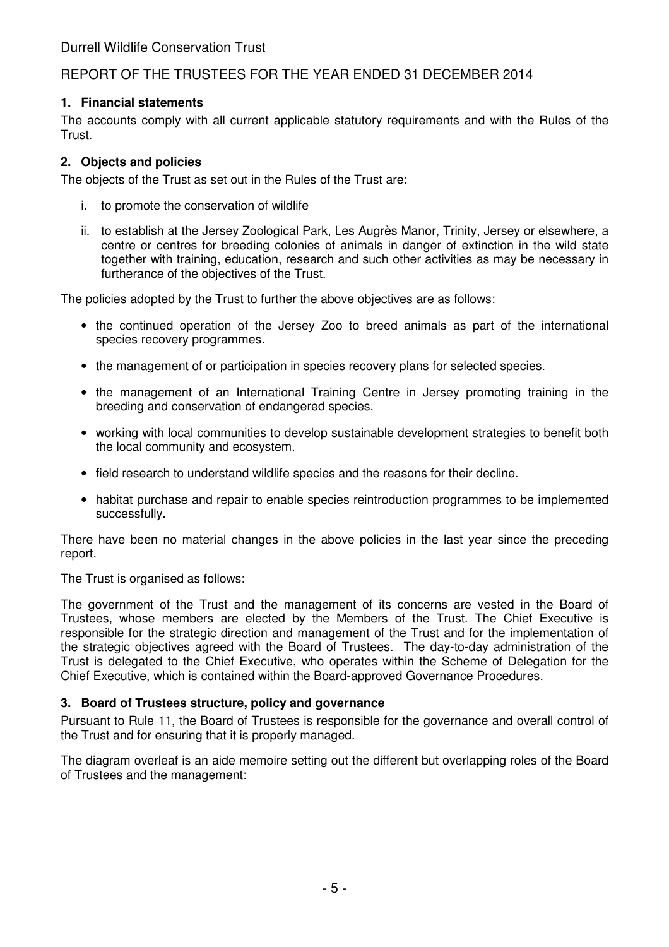## **1. Financial statements**

The accounts comply with all current applicable statutory requirements and with the Rules of the Trust.

## **2. Objects and policies**

The objects of the Trust as set out in the Rules of the Trust are:

- i. to promote the conservation of wildlife
- ii. to establish at the Jersey Zoological Park, Les Augrès Manor, Trinity, Jersey or elsewhere, a centre or centres for breeding colonies of animals in danger of extinction in the wild state together with training, education, research and such other activities as may be necessary in furtherance of the objectives of the Trust.

The policies adopted by the Trust to further the above objectives are as follows:

- the continued operation of the Jersey Zoo to breed animals as part of the international species recovery programmes.
- the management of or participation in species recovery plans for selected species.
- the management of an International Training Centre in Jersey promoting training in the breeding and conservation of endangered species.
- working with local communities to develop sustainable development strategies to benefit both the local community and ecosystem.
- field research to understand wildlife species and the reasons for their decline.
- habitat purchase and repair to enable species reintroduction programmes to be implemented successfully.

There have been no material changes in the above policies in the last year since the preceding report.

The Trust is organised as follows:

The government of the Trust and the management of its concerns are vested in the Board of Trustees, whose members are elected by the Members of the Trust. The Chief Executive is responsible for the strategic direction and management of the Trust and for the implementation of the strategic objectives agreed with the Board of Trustees. The day-to-day administration of the Trust is delegated to the Chief Executive, who operates within the Scheme of Delegation for the Chief Executive, which is contained within the Board-approved Governance Procedures.

# **3. Board of Trustees structure, policy and governance**

Pursuant to Rule 11, the Board of Trustees is responsible for the governance and overall control of the Trust and for ensuring that it is properly managed.

The diagram overleaf is an aide memoire setting out the different but overlapping roles of the Board of Trustees and the management: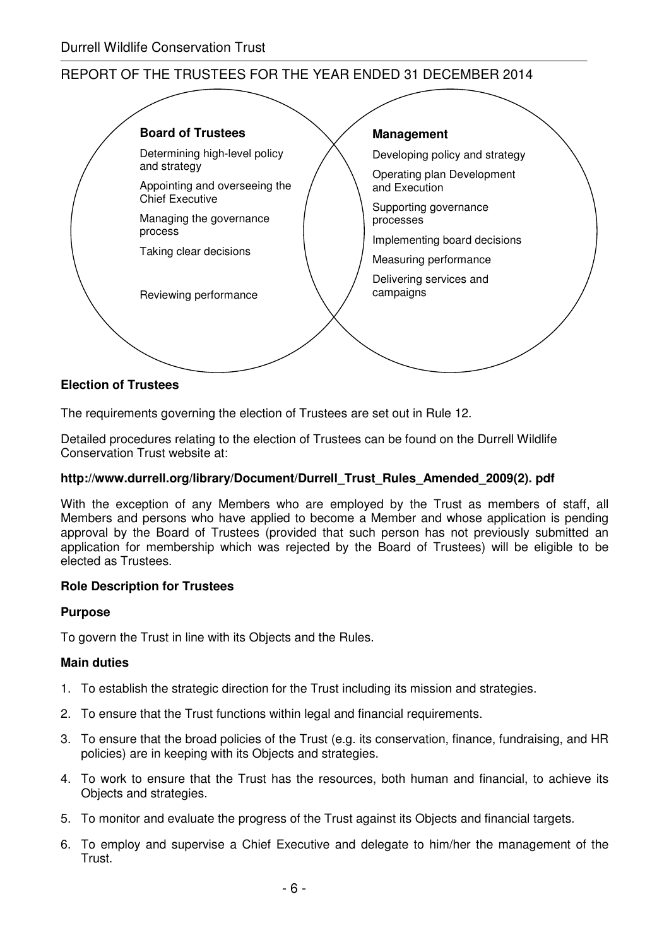

### **Election of Trustees**

The requirements governing the election of Trustees are set out in Rule 12.

Detailed procedures relating to the election of Trustees can be found on the Durrell Wildlife Conservation Trust website at:

### **http://www.durrell.org/library/Document/Durrell\_Trust\_Rules\_Amended\_2009(2). pdf**

With the exception of any Members who are employed by the Trust as members of staff, all Members and persons who have applied to become a Member and whose application is pending approval by the Board of Trustees (provided that such person has not previously submitted an application for membership which was rejected by the Board of Trustees) will be eligible to be elected as Trustees.

#### **Role Description for Trustees**

#### **Purpose**

To govern the Trust in line with its Objects and the Rules.

### **Main duties**

- 1. To establish the strategic direction for the Trust including its mission and strategies.
- 2. To ensure that the Trust functions within legal and financial requirements.
- 3. To ensure that the broad policies of the Trust (e.g. its conservation, finance, fundraising, and HR policies) are in keeping with its Objects and strategies.
- 4. To work to ensure that the Trust has the resources, both human and financial, to achieve its Objects and strategies.
- 5. To monitor and evaluate the progress of the Trust against its Objects and financial targets.
- 6. To employ and supervise a Chief Executive and delegate to him/her the management of the Trust.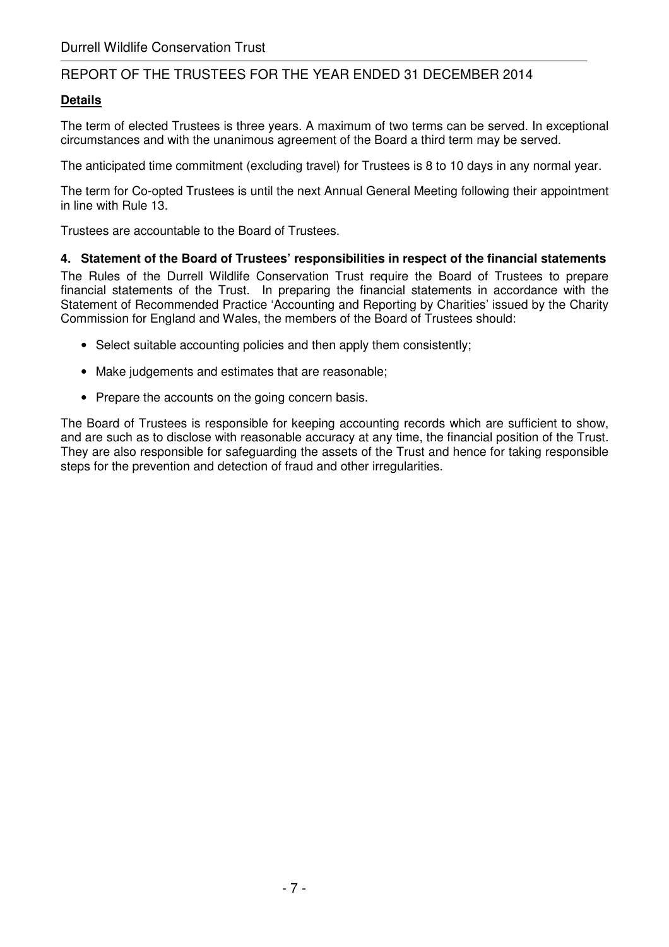## **Details**

The term of elected Trustees is three years. A maximum of two terms can be served. In exceptional circumstances and with the unanimous agreement of the Board a third term may be served.

The anticipated time commitment (excluding travel) for Trustees is 8 to 10 days in any normal year.

The term for Co-opted Trustees is until the next Annual General Meeting following their appointment in line with Rule 13.

Trustees are accountable to the Board of Trustees.

## **4. Statement of the Board of Trustees' responsibilities in respect of the financial statements**

The Rules of the Durrell Wildlife Conservation Trust require the Board of Trustees to prepare financial statements of the Trust. In preparing the financial statements in accordance with the Statement of Recommended Practice 'Accounting and Reporting by Charities' issued by the Charity Commission for England and Wales, the members of the Board of Trustees should:

- Select suitable accounting policies and then apply them consistently;
- Make judgements and estimates that are reasonable;
- Prepare the accounts on the going concern basis.

The Board of Trustees is responsible for keeping accounting records which are sufficient to show, and are such as to disclose with reasonable accuracy at any time, the financial position of the Trust. They are also responsible for safeguarding the assets of the Trust and hence for taking responsible steps for the prevention and detection of fraud and other irregularities.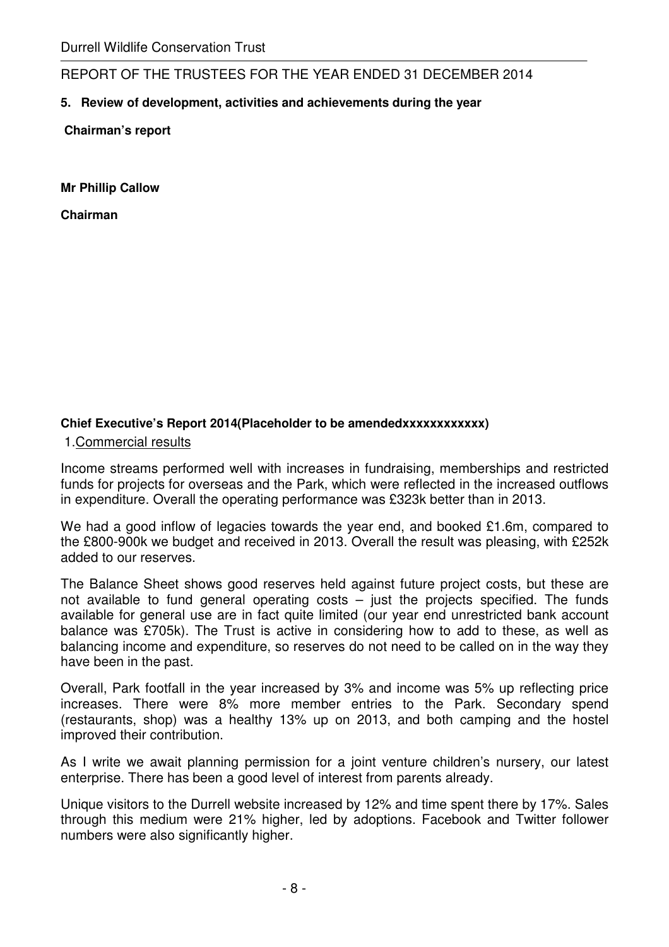# **5. Review of development, activities and achievements during the year**

 **Chairman's report** 

**Mr Phillip Callow** 

**Chairman** 

# **Chief Executive's Report 2014(Placeholder to be amendedxxxxxxxxxxxx)**

## 1.Commercial results

Income streams performed well with increases in fundraising, memberships and restricted funds for projects for overseas and the Park, which were reflected in the increased outflows in expenditure. Overall the operating performance was £323k better than in 2013.

We had a good inflow of legacies towards the year end, and booked £1.6m, compared to the £800-900k we budget and received in 2013. Overall the result was pleasing, with £252k added to our reserves.

The Balance Sheet shows good reserves held against future project costs, but these are not available to fund general operating costs – just the projects specified. The funds available for general use are in fact quite limited (our year end unrestricted bank account balance was £705k). The Trust is active in considering how to add to these, as well as balancing income and expenditure, so reserves do not need to be called on in the way they have been in the past.

Overall, Park footfall in the year increased by 3% and income was 5% up reflecting price increases. There were 8% more member entries to the Park. Secondary spend (restaurants, shop) was a healthy 13% up on 2013, and both camping and the hostel improved their contribution.

As I write we await planning permission for a joint venture children's nursery, our latest enterprise. There has been a good level of interest from parents already.

Unique visitors to the Durrell website increased by 12% and time spent there by 17%. Sales through this medium were 21% higher, led by adoptions. Facebook and Twitter follower numbers were also significantly higher.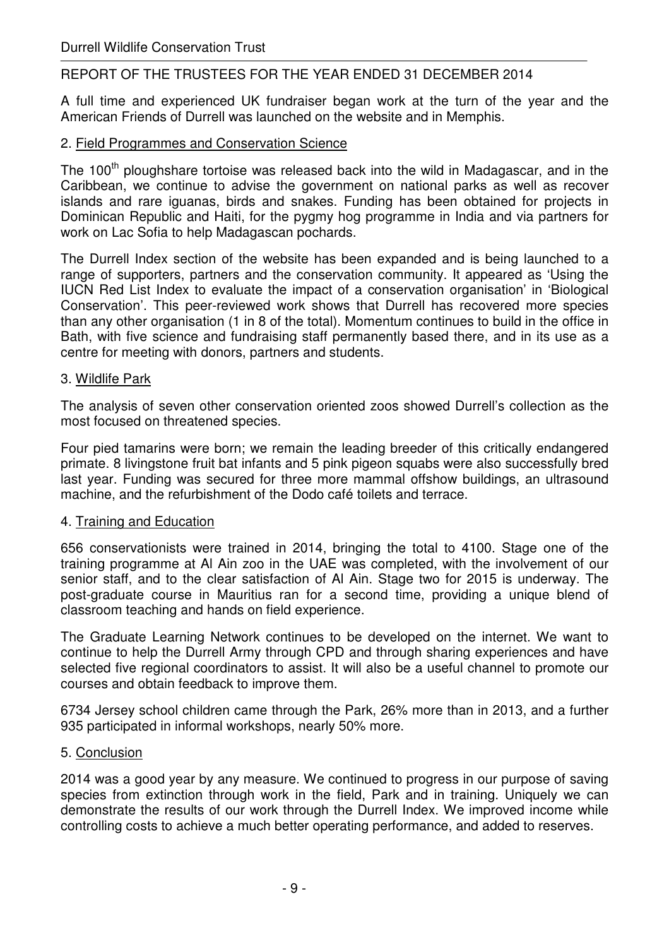A full time and experienced UK fundraiser began work at the turn of the year and the American Friends of Durrell was launched on the website and in Memphis.

# 2. Field Programmes and Conservation Science

The 100<sup>th</sup> ploughshare tortoise was released back into the wild in Madagascar, and in the Caribbean, we continue to advise the government on national parks as well as recover islands and rare iguanas, birds and snakes. Funding has been obtained for projects in Dominican Republic and Haiti, for the pygmy hog programme in India and via partners for work on Lac Sofia to help Madagascan pochards.

The Durrell Index section of the website has been expanded and is being launched to a range of supporters, partners and the conservation community. It appeared as 'Using the IUCN Red List Index to evaluate the impact of a conservation organisation' in 'Biological Conservation'. This peer-reviewed work shows that Durrell has recovered more species than any other organisation (1 in 8 of the total). Momentum continues to build in the office in Bath, with five science and fundraising staff permanently based there, and in its use as a centre for meeting with donors, partners and students.

## 3. Wildlife Park

The analysis of seven other conservation oriented zoos showed Durrell's collection as the most focused on threatened species.

Four pied tamarins were born; we remain the leading breeder of this critically endangered primate. 8 livingstone fruit bat infants and 5 pink pigeon squabs were also successfully bred last year. Funding was secured for three more mammal offshow buildings, an ultrasound machine, and the refurbishment of the Dodo café toilets and terrace.

### 4. Training and Education

656 conservationists were trained in 2014, bringing the total to 4100. Stage one of the training programme at Al Ain zoo in the UAE was completed, with the involvement of our senior staff, and to the clear satisfaction of Al Ain. Stage two for 2015 is underway. The post-graduate course in Mauritius ran for a second time, providing a unique blend of classroom teaching and hands on field experience.

The Graduate Learning Network continues to be developed on the internet. We want to continue to help the Durrell Army through CPD and through sharing experiences and have selected five regional coordinators to assist. It will also be a useful channel to promote our courses and obtain feedback to improve them.

6734 Jersey school children came through the Park, 26% more than in 2013, and a further 935 participated in informal workshops, nearly 50% more.

# 5. Conclusion

2014 was a good year by any measure. We continued to progress in our purpose of saving species from extinction through work in the field, Park and in training. Uniquely we can demonstrate the results of our work through the Durrell Index. We improved income while controlling costs to achieve a much better operating performance, and added to reserves.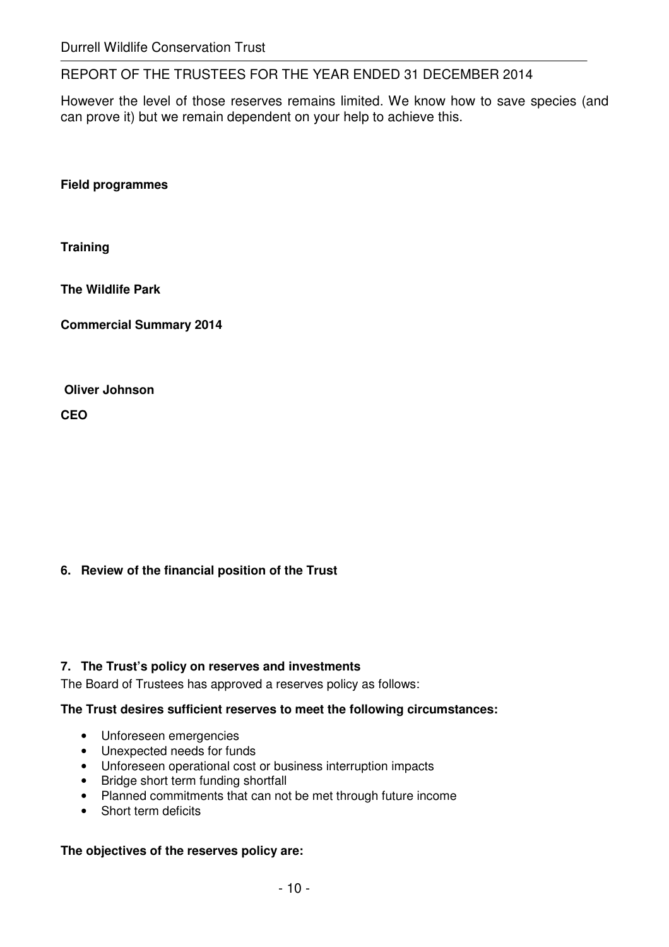However the level of those reserves remains limited. We know how to save species (and can prove it) but we remain dependent on your help to achieve this.

**Field programmes** 

**Training** 

**The Wildlife Park** 

**Commercial Summary 2014** 

**Oliver Johnson** 

**CEO** 

# **6. Review of the financial position of the Trust**

# **7. The Trust's policy on reserves and investments**

The Board of Trustees has approved a reserves policy as follows:

# **The Trust desires sufficient reserves to meet the following circumstances:**

- Unforeseen emergencies
- Unexpected needs for funds
- Unforeseen operational cost or business interruption impacts
- Bridge short term funding shortfall
- Planned commitments that can not be met through future income
- Short term deficits

### **The objectives of the reserves policy are:**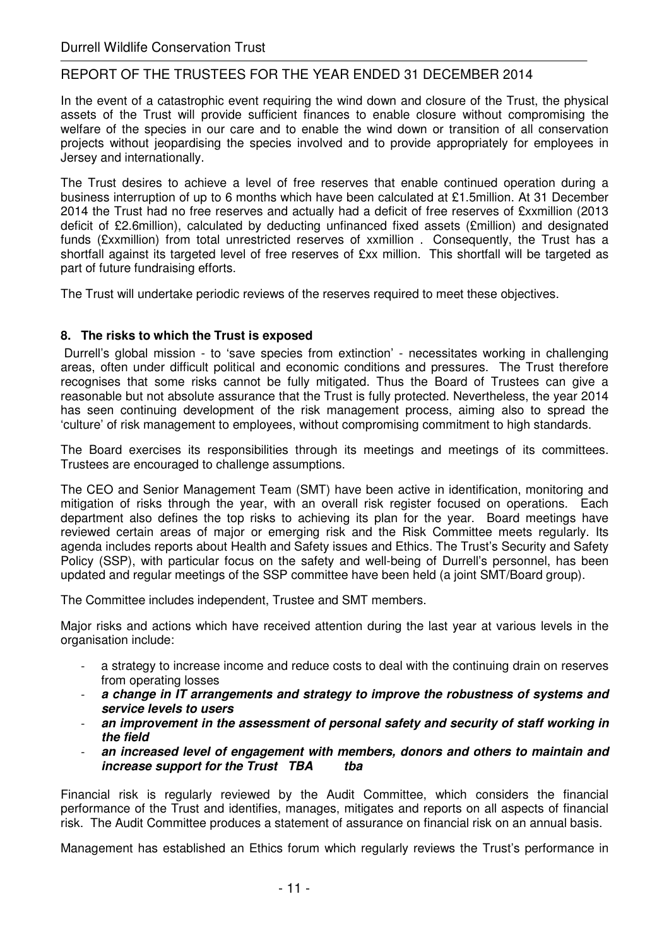In the event of a catastrophic event requiring the wind down and closure of the Trust, the physical assets of the Trust will provide sufficient finances to enable closure without compromising the welfare of the species in our care and to enable the wind down or transition of all conservation projects without jeopardising the species involved and to provide appropriately for employees in Jersey and internationally.

The Trust desires to achieve a level of free reserves that enable continued operation during a business interruption of up to 6 months which have been calculated at £1.5million. At 31 December 2014 the Trust had no free reserves and actually had a deficit of free reserves of £xxmillion (2013 deficit of £2.6million), calculated by deducting unfinanced fixed assets (£million) and designated funds (£xxmillion) from total unrestricted reserves of xxmillion . Consequently, the Trust has a shortfall against its targeted level of free reserves of £xx million. This shortfall will be targeted as part of future fundraising efforts.

The Trust will undertake periodic reviews of the reserves required to meet these objectives.

### **8. The risks to which the Trust is exposed**

 Durrell's global mission - to 'save species from extinction' - necessitates working in challenging areas, often under difficult political and economic conditions and pressures. The Trust therefore recognises that some risks cannot be fully mitigated. Thus the Board of Trustees can give a reasonable but not absolute assurance that the Trust is fully protected. Nevertheless, the year 2014 has seen continuing development of the risk management process, aiming also to spread the 'culture' of risk management to employees, without compromising commitment to high standards.

The Board exercises its responsibilities through its meetings and meetings of its committees. Trustees are encouraged to challenge assumptions.

The CEO and Senior Management Team (SMT) have been active in identification, monitoring and mitigation of risks through the year, with an overall risk register focused on operations. Each department also defines the top risks to achieving its plan for the year. Board meetings have reviewed certain areas of major or emerging risk and the Risk Committee meets regularly. Its agenda includes reports about Health and Safety issues and Ethics. The Trust's Security and Safety Policy (SSP), with particular focus on the safety and well-being of Durrell's personnel, has been updated and regular meetings of the SSP committee have been held (a joint SMT/Board group).

The Committee includes independent, Trustee and SMT members.

Major risks and actions which have received attention during the last year at various levels in the organisation include:

- a strategy to increase income and reduce costs to deal with the continuing drain on reserves from operating losses
- a change in IT arrangements and strategy to improve the robustness of systems and **service levels to users**
- **an improvement in the assessment of personal safety and security of staff working in the field**
- **an increased level of engagement with members, donors and others to maintain and increase support for the Trust TBA** tha

Financial risk is regularly reviewed by the Audit Committee, which considers the financial performance of the Trust and identifies, manages, mitigates and reports on all aspects of financial risk. The Audit Committee produces a statement of assurance on financial risk on an annual basis.

Management has established an Ethics forum which regularly reviews the Trust's performance in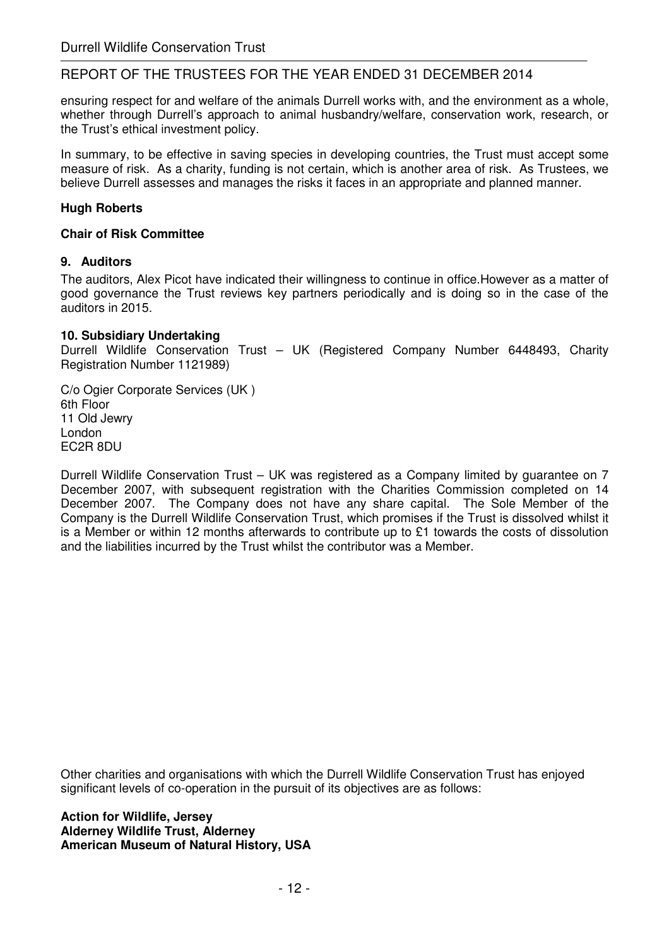ensuring respect for and welfare of the animals Durrell works with, and the environment as a whole, whether through Durrell's approach to animal husbandry/welfare, conservation work, research, or the Trust's ethical investment policy.

In summary, to be effective in saving species in developing countries, the Trust must accept some measure of risk. As a charity, funding is not certain, which is another area of risk. As Trustees, we believe Durrell assesses and manages the risks it faces in an appropriate and planned manner.

### **Hugh Roberts**

### **Chair of Risk Committee**

### **9. Auditors**

The auditors, Alex Picot have indicated their willingness to continue in office.However as a matter of good governance the Trust reviews key partners periodically and is doing so in the case of the auditors in 2015.

### **10. Subsidiary Undertaking**

Durrell Wildlife Conservation Trust – UK (Registered Company Number 6448493, Charity Registration Number 1121989)

C/o Ogier Corporate Services (UK ) 6th Floor 11 Old Jewry London EC2R 8DU

Durrell Wildlife Conservation Trust – UK was registered as a Company limited by guarantee on 7 December 2007, with subsequent registration with the Charities Commission completed on 14 December 2007. The Company does not have any share capital. The Sole Member of the Company is the Durrell Wildlife Conservation Trust, which promises if the Trust is dissolved whilst it is a Member or within 12 months afterwards to contribute up to £1 towards the costs of dissolution and the liabilities incurred by the Trust whilst the contributor was a Member.

Other charities and organisations with which the Durrell Wildlife Conservation Trust has enjoyed significant levels of co-operation in the pursuit of its objectives are as follows:

**Action for Wildlife, Jersey Alderney Wildlife Trust, Alderney American Museum of Natural History, USA**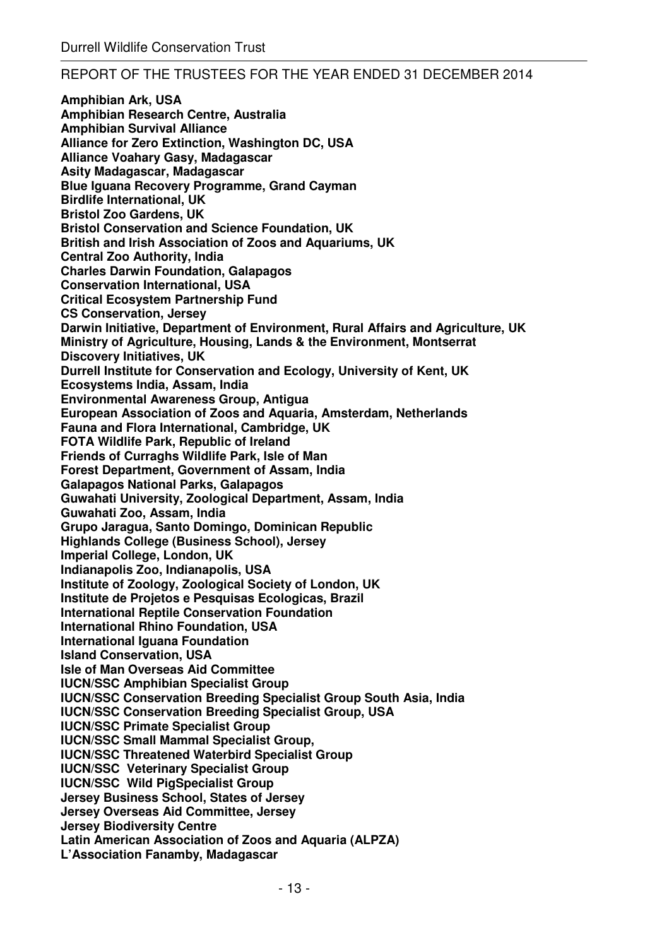**Amphibian Ark, USA Amphibian Research Centre, Australia Amphibian Survival Alliance Alliance for Zero Extinction, Washington DC, USA Alliance Voahary Gasy, Madagascar Asity Madagascar, Madagascar Blue Iguana Recovery Programme, Grand Cayman Birdlife International, UK Bristol Zoo Gardens, UK Bristol Conservation and Science Foundation, UK British and Irish Association of Zoos and Aquariums, UK Central Zoo Authority, India Charles Darwin Foundation, Galapagos Conservation International, USA Critical Ecosystem Partnership Fund CS Conservation, Jersey Darwin Initiative, Department of Environment, Rural Affairs and Agriculture, UK Ministry of Agriculture, Housing, Lands & the Environment, Montserrat Discovery Initiatives, UK Durrell Institute for Conservation and Ecology, University of Kent, UK Ecosystems India, Assam, India Environmental Awareness Group, Antigua European Association of Zoos and Aquaria, Amsterdam, Netherlands Fauna and Flora International, Cambridge, UK FOTA Wildlife Park, Republic of Ireland Friends of Curraghs Wildlife Park, Isle of Man Forest Department, Government of Assam, India Galapagos National Parks, Galapagos Guwahati University, Zoological Department, Assam, India Guwahati Zoo, Assam, India Grupo Jaragua, Santo Domingo, Dominican Republic Highlands College (Business School), Jersey Imperial College, London, UK Indianapolis Zoo, Indianapolis, USA Institute of Zoology, Zoological Society of London, UK Institute de Projetos e Pesquisas Ecologicas, Brazil International Reptile Conservation Foundation International Rhino Foundation, USA International Iguana Foundation Island Conservation, USA Isle of Man Overseas Aid Committee IUCN/SSC Amphibian Specialist Group IUCN/SSC Conservation Breeding Specialist Group South Asia, India IUCN/SSC Conservation Breeding Specialist Group, USA IUCN/SSC Primate Specialist Group IUCN/SSC Small Mammal Specialist Group, IUCN/SSC Threatened Waterbird Specialist Group IUCN/SSC Veterinary Specialist Group IUCN/SSC Wild PigSpecialist Group Jersey Business School, States of Jersey Jersey Overseas Aid Committee, Jersey Jersey Biodiversity Centre Latin American Association of Zoos and Aquaria (ALPZA) L'Association Fanamby, Madagascar**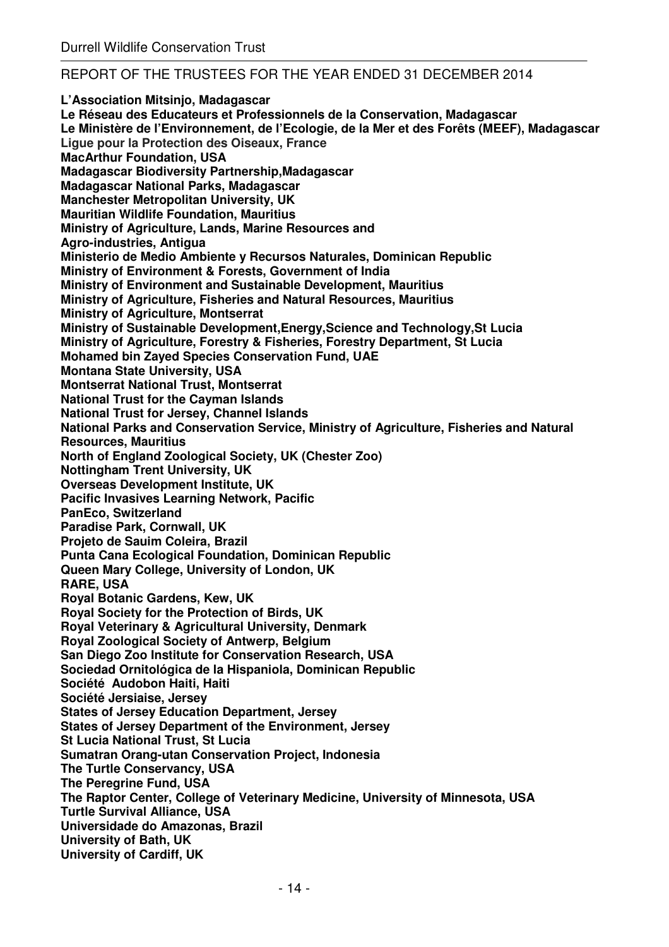**L'Association Mitsinjo, Madagascar Le Réseau des Educateurs et Professionnels de la Conservation, Madagascar Le Ministère de l'Environnement, de l'Ecologie, de la Mer et des Forêts (MEEF), Madagascar Ligue pour la Protection des Oiseaux, France MacArthur Foundation, USA Madagascar Biodiversity Partnership,Madagascar Madagascar National Parks, Madagascar Manchester Metropolitan University, UK Mauritian Wildlife Foundation, Mauritius Ministry of Agriculture, Lands, Marine Resources and Agro-industries, Antigua Ministerio de Medio Ambiente y Recursos Naturales, Dominican Republic Ministry of Environment & Forests, Government of India Ministry of Environment and Sustainable Development, Mauritius Ministry of Agriculture, Fisheries and Natural Resources, Mauritius Ministry of Agriculture, Montserrat Ministry of Sustainable Development,Energy,Science and Technology,St Lucia Ministry of Agriculture, Forestry & Fisheries, Forestry Department, St Lucia Mohamed bin Zayed Species Conservation Fund, UAE Montana State University, USA Montserrat National Trust, Montserrat National Trust for the Cayman Islands National Trust for Jersey, Channel Islands National Parks and Conservation Service, Ministry of Agriculture, Fisheries and Natural Resources, Mauritius North of England Zoological Society, UK (Chester Zoo) Nottingham Trent University, UK Overseas Development Institute, UK Pacific Invasives Learning Network, Pacific PanEco, Switzerland Paradise Park, Cornwall, UK Projeto de Sauim Coleira, Brazil Punta Cana Ecological Foundation, Dominican Republic Queen Mary College, University of London, UK RARE, USA Royal Botanic Gardens, Kew, UK Royal Society for the Protection of Birds, UK Royal Veterinary & Agricultural University, Denmark Royal Zoological Society of Antwerp, Belgium San Diego Zoo Institute for Conservation Research, USA Sociedad Ornitológica de la Hispaniola, Dominican Republic Société Audobon Haiti, Haiti Société Jersiaise, Jersey States of Jersey Education Department, Jersey States of Jersey Department of the Environment, Jersey St Lucia National Trust, St Lucia Sumatran Orang-utan Conservation Project, Indonesia The Turtle Conservancy, USA The Peregrine Fund, USA The Raptor Center, College of Veterinary Medicine, University of Minnesota, USA Turtle Survival Alliance, USA Universidade do Amazonas, Brazil University of Bath, UK University of Cardiff, UK**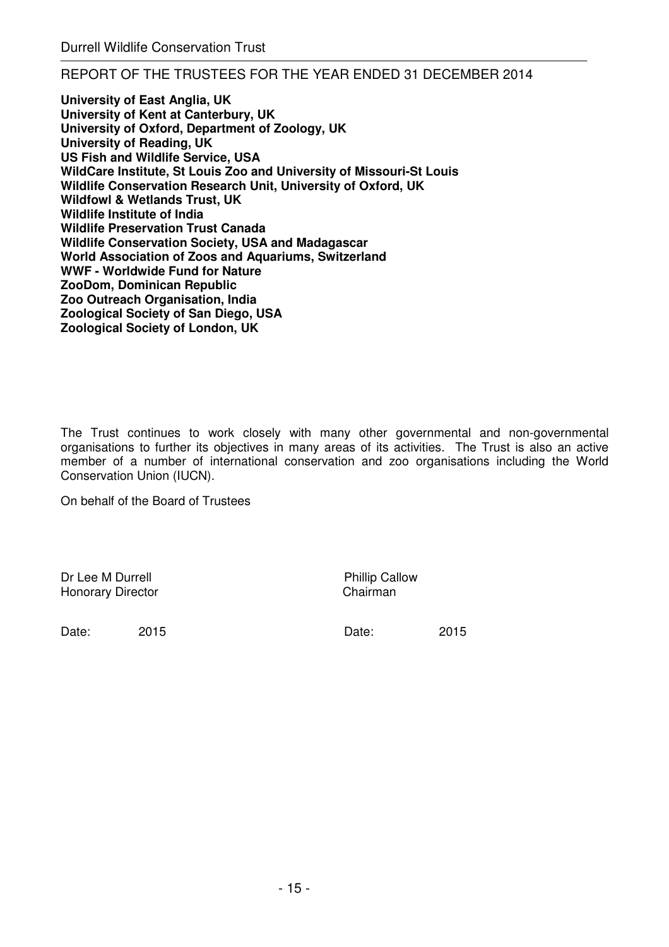**University of East Anglia, UK University of Kent at Canterbury, UK University of Oxford, Department of Zoology, UK University of Reading, UK US Fish and Wildlife Service, USA WildCare Institute, St Louis Zoo and University of Missouri-St Louis Wildlife Conservation Research Unit, University of Oxford, UK Wildfowl & Wetlands Trust, UK Wildlife Institute of India Wildlife Preservation Trust Canada Wildlife Conservation Society, USA and Madagascar World Association of Zoos and Aquariums, Switzerland WWF - Worldwide Fund for Nature ZooDom, Dominican Republic Zoo Outreach Organisation, India Zoological Society of San Diego, USA Zoological Society of London, UK** 

The Trust continues to work closely with many other governmental and non-governmental organisations to further its objectives in many areas of its activities. The Trust is also an active member of a number of international conservation and zoo organisations including the World Conservation Union (IUCN).

On behalf of the Board of Trustees

Dr Lee M Durrell **Phillip Callow** Honorary Director **Chairman** 

Date: 2015 Date: 2015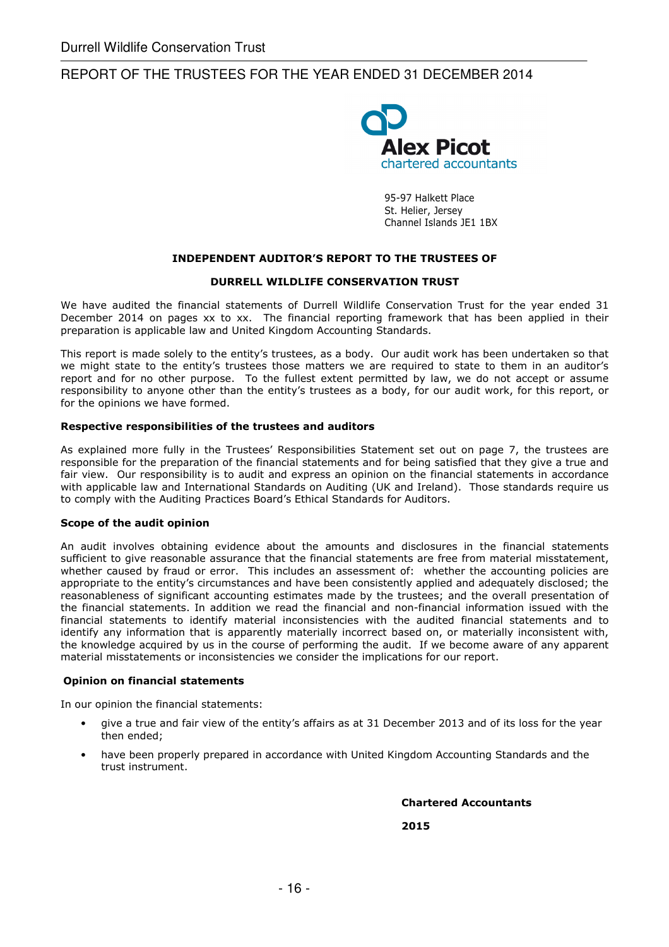

95-97 Halkett Place St. Helier, Jersey Channel Islands JE1 1BX

#### **INDEPENDENT AUDITOR'S REPORT TO THE TRUSTEES OF**

#### **DURRELL WILDLIFE CONSERVATION TRUST**

We have audited the financial statements of Durrell Wildlife Conservation Trust for the year ended 31 December 2014 on pages xx to xx. The financial reporting framework that has been applied in their preparation is applicable law and United Kingdom Accounting Standards.

This report is made solely to the entity's trustees, as a body. Our audit work has been undertaken so that we might state to the entity's trustees those matters we are required to state to them in an auditor's report and for no other purpose. To the fullest extent permitted by law, we do not accept or assume responsibility to anyone other than the entity's trustees as a body, for our audit work, for this report, or for the opinions we have formed.

#### **Respective responsibilities of the trustees and auditors**

As explained more fully in the Trustees' Responsibilities Statement set out on page 7, the trustees are responsible for the preparation of the financial statements and for being satisfied that they give a true and fair view. Our responsibility is to audit and express an opinion on the financial statements in accordance with applicable law and International Standards on Auditing (UK and Ireland). Those standards require us to comply with the Auditing Practices Board's Ethical Standards for Auditors.

#### **Scope of the audit opinion**

An audit involves obtaining evidence about the amounts and disclosures in the financial statements sufficient to give reasonable assurance that the financial statements are free from material misstatement, whether caused by fraud or error. This includes an assessment of: whether the accounting policies are appropriate to the entity's circumstances and have been consistently applied and adequately disclosed; the reasonableness of significant accounting estimates made by the trustees; and the overall presentation of the financial statements. In addition we read the financial and non-financial information issued with the financial statements to identify material inconsistencies with the audited financial statements and to identify any information that is apparently materially incorrect based on, or materially inconsistent with, the knowledge acquired by us in the course of performing the audit. If we become aware of any apparent material misstatements or inconsistencies we consider the implications for our report.

#### **Opinion on financial statements**

In our opinion the financial statements:

- give a true and fair view of the entity's affairs as at 31 December 2013 and of its loss for the year then ended;
- have been properly prepared in accordance with United Kingdom Accounting Standards and the trust instrument.

#### **Chartered Accountants**

**2015**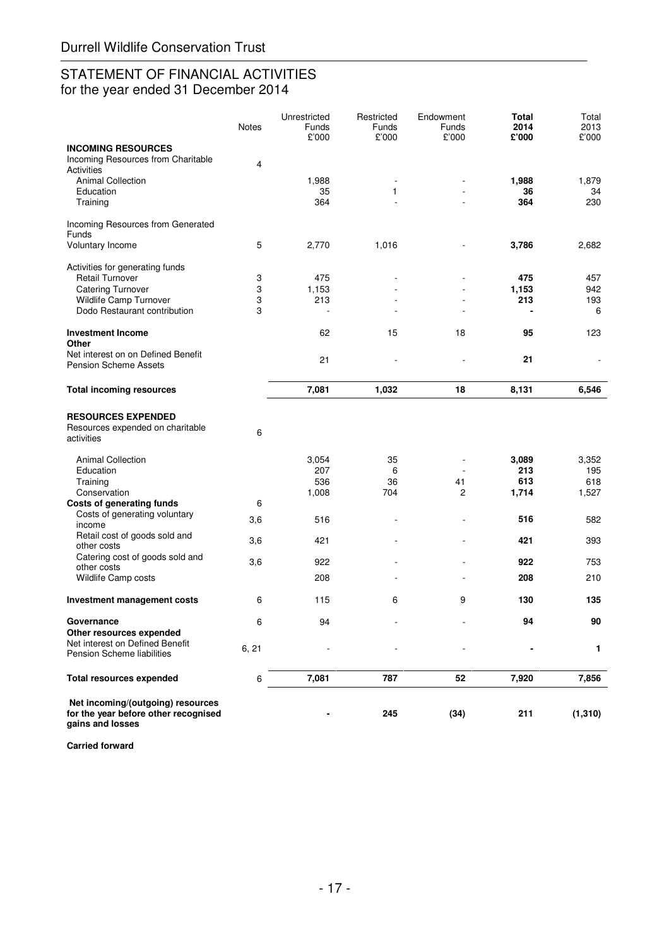# STATEMENT OF FINANCIAL ACTIVITIES for the year ended 31 December 2014

|                                                                                               | Notes | Unrestricted<br>Funds<br>£'000 | Restricted<br>Funds<br>£'000 | Endowment<br>Funds<br>£'000 | <b>Total</b><br>2014<br>£'000 | Total<br>2013<br>£'000 |
|-----------------------------------------------------------------------------------------------|-------|--------------------------------|------------------------------|-----------------------------|-------------------------------|------------------------|
| <b>INCOMING RESOURCES</b><br>Incoming Resources from Charitable                               | 4     |                                |                              |                             |                               |                        |
| Activities                                                                                    |       |                                |                              |                             |                               |                        |
| <b>Animal Collection</b>                                                                      |       | 1,988                          |                              |                             | 1,988                         | 1,879                  |
| Education<br>Training                                                                         |       | 35<br>364                      | 1                            |                             | 36<br>364                     | 34<br>230              |
|                                                                                               |       |                                |                              |                             |                               |                        |
| Incoming Resources from Generated<br>Funds                                                    |       |                                |                              |                             |                               |                        |
| Voluntary Income                                                                              | 5     | 2,770                          | 1,016                        |                             | 3,786                         | 2,682                  |
|                                                                                               |       |                                |                              |                             |                               |                        |
| Activities for generating funds<br><b>Retail Turnover</b>                                     | 3     | 475                            |                              |                             | 475                           | 457                    |
| <b>Catering Turnover</b>                                                                      | 3     | 1,153                          |                              |                             | 1,153                         | 942                    |
| Wildlife Camp Turnover                                                                        | 3     | 213                            |                              |                             | 213                           | 193                    |
| Dodo Restaurant contribution                                                                  | 3     |                                |                              | ٠                           |                               | 6                      |
|                                                                                               |       |                                |                              |                             |                               |                        |
| <b>Investment Income</b><br>Other                                                             |       | 62                             | 15                           | 18                          | 95                            | 123                    |
| Net interest on on Defined Benefit                                                            |       | 21                             |                              |                             | 21                            |                        |
| <b>Pension Scheme Assets</b>                                                                  |       |                                |                              |                             |                               |                        |
| <b>Total incoming resources</b>                                                               |       | 7,081                          | 1,032                        | 18                          | 8,131                         | 6,546                  |
| <b>RESOURCES EXPENDED</b>                                                                     |       |                                |                              |                             |                               |                        |
| Resources expended on charitable                                                              |       |                                |                              |                             |                               |                        |
| activities                                                                                    | 6     |                                |                              |                             |                               |                        |
| <b>Animal Collection</b>                                                                      |       | 3,054                          | 35                           |                             | 3,089                         | 3,352                  |
| Education                                                                                     |       | 207                            | 6                            |                             | 213                           | 195                    |
| Training                                                                                      |       | 536                            | 36                           | 41                          | 613                           | 618                    |
| Conservation                                                                                  |       | 1,008                          | 704                          | 2                           | 1,714                         | 1,527                  |
| <b>Costs of generating funds</b>                                                              | 6     |                                |                              |                             |                               |                        |
| Costs of generating voluntary                                                                 | 3,6   | 516                            | $\overline{\phantom{a}}$     |                             | 516                           | 582                    |
| income                                                                                        |       |                                |                              |                             |                               |                        |
| Retail cost of goods sold and                                                                 | 3,6   | 421                            |                              |                             | 421                           | 393                    |
| other costs<br>Catering cost of goods sold and                                                |       |                                |                              |                             |                               |                        |
| other costs                                                                                   | 3,6   | 922                            |                              |                             | 922                           | 753                    |
| Wildlife Camp costs                                                                           |       | 208                            |                              |                             | 208                           | 210                    |
|                                                                                               |       |                                |                              |                             |                               |                        |
| Investment management costs                                                                   | 6     | 115                            | 6                            | 9                           | 130                           | 135                    |
| Governance                                                                                    | 6     | 94                             |                              |                             | 94                            | 90                     |
| Other resources expended                                                                      |       |                                |                              |                             |                               |                        |
| Net interest on Defined Benefit<br><b>Pension Scheme liabilities</b>                          | 6, 21 |                                |                              |                             |                               | 1                      |
| <b>Total resources expended</b>                                                               | 6     | 7,081                          | 787                          | 52                          | 7,920                         | 7,856                  |
| Net incoming/(outgoing) resources<br>for the year before other recognised<br>gains and losses |       |                                | 245                          | (34)                        | 211                           | (1, 310)               |

**Carried forward**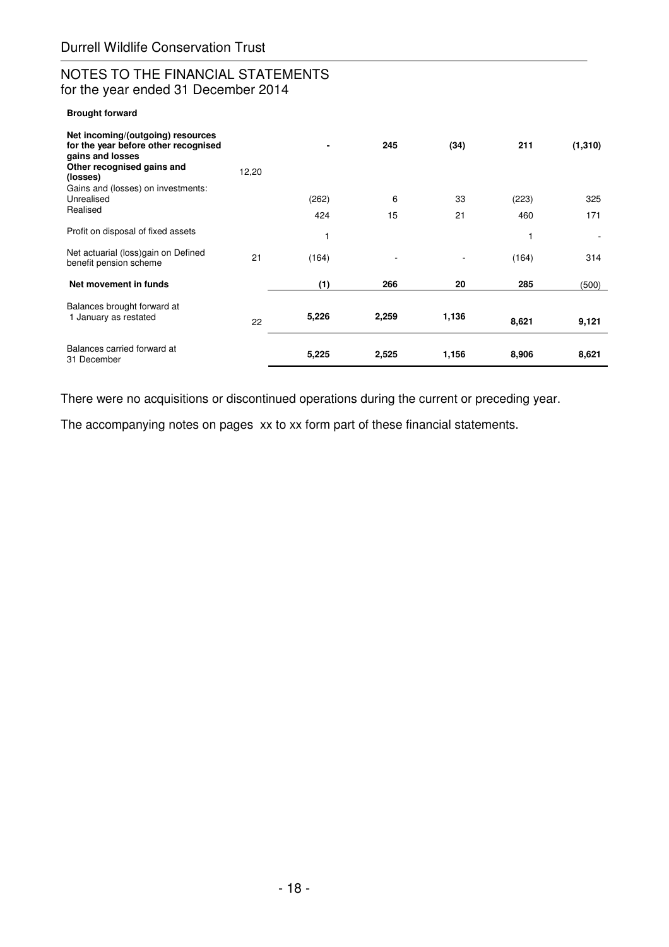#### **Brought forward**

| Net incoming/(outgoing) resources<br>for the year before other recognised<br>gains and losses<br>Other recognised gains and<br>(losses) | 12,20 |       | 245   | (34)  | 211   | (1, 310) |
|-----------------------------------------------------------------------------------------------------------------------------------------|-------|-------|-------|-------|-------|----------|
| Gains and (losses) on investments:                                                                                                      |       |       |       |       |       |          |
| Unrealised                                                                                                                              |       | (262) | 6     | 33    | (223) | 325      |
| Realised                                                                                                                                |       | 424   | 15    | 21    | 460   | 171      |
| Profit on disposal of fixed assets                                                                                                      |       |       |       |       |       |          |
| Net actuarial (loss)gain on Defined<br>benefit pension scheme                                                                           | 21    | (164) |       |       | (164) | 314      |
| Net movement in funds                                                                                                                   |       | (1)   | 266   | 20    | 285   | (500)    |
| Balances brought forward at<br>1 January as restated                                                                                    | 22    | 5,226 | 2,259 | 1,136 | 8,621 | 9,121    |
| Balances carried forward at<br>31 December                                                                                              |       | 5,225 | 2,525 | 1,156 | 8,906 | 8,621    |

There were no acquisitions or discontinued operations during the current or preceding year.

The accompanying notes on pages xx to xx form part of these financial statements.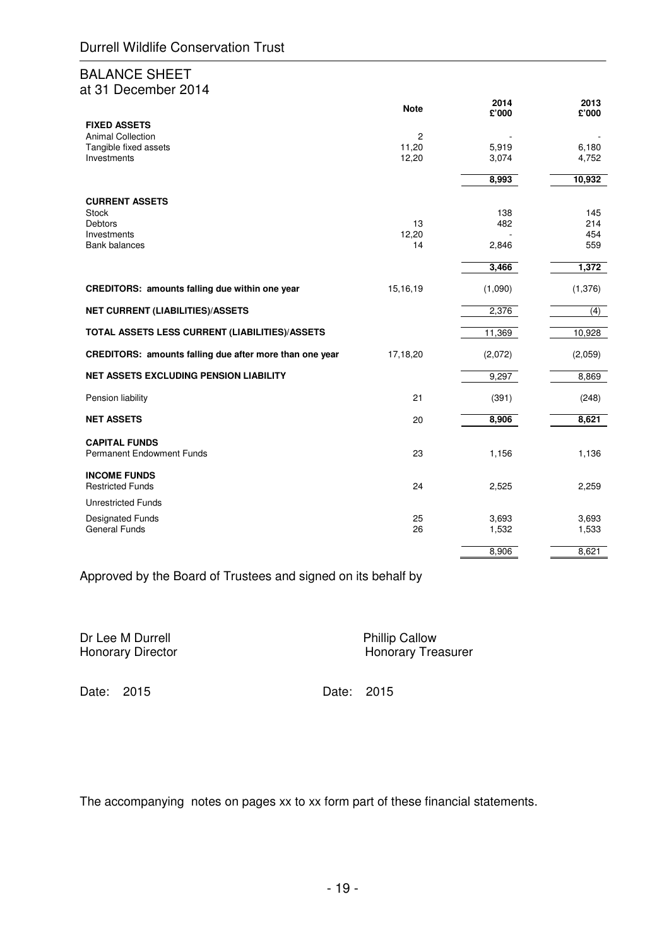### BALANCE SHEET at 31 December 2014

|                                                         | <b>Note</b>             | 2014<br>£'000 | 2013<br>£'000 |
|---------------------------------------------------------|-------------------------|---------------|---------------|
| <b>FIXED ASSETS</b>                                     |                         |               |               |
| <b>Animal Collection</b><br>Tangible fixed assets       | $\overline{c}$<br>11,20 | 5,919         | 6,180         |
| Investments                                             | 12,20                   | 3,074         | 4,752         |
|                                                         |                         | 8,993         | 10,932        |
| <b>CURRENT ASSETS</b>                                   |                         |               |               |
| <b>Stock</b>                                            |                         | 138           | 145           |
| <b>Debtors</b>                                          | 13                      | 482           | 214           |
| Investments                                             | 12,20                   |               | 454           |
| <b>Bank balances</b>                                    | 14                      | 2,846         | 559           |
|                                                         |                         | 3,466         | 1,372         |
| CREDITORS: amounts falling due within one year          | 15,16,19                | (1,090)       | (1,376)       |
| <b>NET CURRENT (LIABILITIES)/ASSETS</b>                 |                         | 2,376         | (4)           |
| TOTAL ASSETS LESS CURRENT (LIABILITIES)/ASSETS          |                         | 11,369        | 10,928        |
| CREDITORS: amounts falling due after more than one year | 17,18,20                | (2,072)       | (2,059)       |
| <b>NET ASSETS EXCLUDING PENSION LIABILITY</b>           |                         | 9,297         | 8,869         |
| Pension liability                                       | 21                      | (391)         | (248)         |
| <b>NET ASSETS</b>                                       | 20                      | 8,906         | 8,621         |
| <b>CAPITAL FUNDS</b>                                    |                         |               |               |
| <b>Permanent Endowment Funds</b>                        | 23                      | 1,156         | 1,136         |
| <b>INCOME FUNDS</b>                                     |                         |               |               |
| <b>Restricted Funds</b>                                 | 24                      | 2,525         | 2,259         |
| <b>Unrestricted Funds</b>                               |                         |               |               |
| <b>Designated Funds</b>                                 | 25                      | 3,693         | 3,693         |
| <b>General Funds</b>                                    | 26                      | 1,532         | 1,533         |
|                                                         |                         | 8,906         | 8,621         |

Approved by the Board of Trustees and signed on its behalf by

Dr Lee M Durrell **Dr Lee M Durrell** Phillip Callow<br>
Honorary Director **Phillip Callow**<br>
Honorary Trea

Honorary Treasurer

Date: 2015 Date: 2015

The accompanying notes on pages xx to xx form part of these financial statements.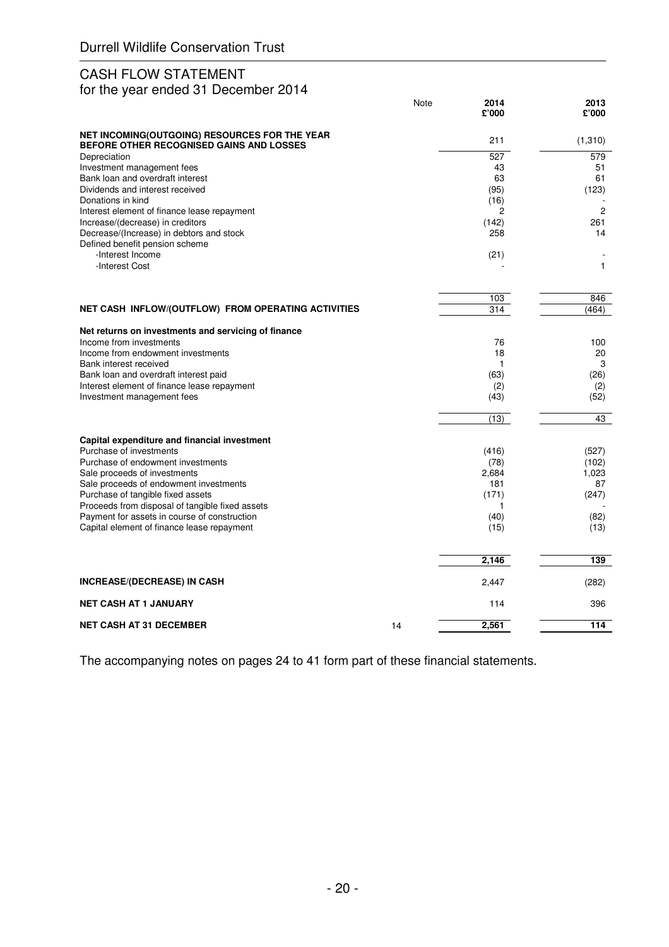# CASH FLOW STATEMENT for the year ended 31 December 2014

|                                                            | Note | 2014<br>£'000  | 2013<br>£'000  |
|------------------------------------------------------------|------|----------------|----------------|
| NET INCOMING(OUTGOING) RESOURCES FOR THE YEAR              |      | 211            | (1,310)        |
| BEFORE OTHER RECOGNISED GAINS AND LOSSES                   |      |                |                |
| Depreciation                                               |      | 527            | 579            |
| Investment management fees                                 |      | 43             | 51             |
| Bank loan and overdraft interest                           |      | 63             | 61             |
| Dividends and interest received<br>Donations in kind       |      | (95)<br>(16)   | (123)          |
| Interest element of finance lease repayment                |      | $\overline{2}$ | $\overline{c}$ |
| Increase/(decrease) in creditors                           |      | (142)          | 261            |
| Decrease/(Increase) in debtors and stock                   |      | 258            | 14             |
| Defined benefit pension scheme                             |      |                |                |
| -Interest Income                                           |      | (21)           |                |
| -Interest Cost                                             |      |                | 1              |
|                                                            |      |                |                |
| <b>NET CASH INFLOW/(OUTFLOW) FROM OPERATING ACTIVITIES</b> |      | 103<br>314     | 846<br>(464)   |
|                                                            |      |                |                |
| Net returns on investments and servicing of finance        |      |                |                |
| Income from investments                                    |      | 76             | 100            |
| Income from endowment investments                          |      | 18             | 20             |
| Bank interest received                                     |      | 1              | 3              |
| Bank loan and overdraft interest paid                      |      | (63)           | (26)           |
| Interest element of finance lease repayment                |      | (2)            | (2)            |
| Investment management fees                                 |      | (43)           | (52)           |
|                                                            |      |                |                |
|                                                            |      | (13)           | 43             |
| Capital expenditure and financial investment               |      |                |                |
| Purchase of investments                                    |      | (416)          | (527)          |
| Purchase of endowment investments                          |      | (78)           | (102)          |
| Sale proceeds of investments                               |      | 2,684          | 1,023          |
| Sale proceeds of endowment investments                     |      | 181            | 87             |
| Purchase of tangible fixed assets                          |      | (171)          | (247)          |
| Proceeds from disposal of tangible fixed assets            |      | 1              |                |
| Payment for assets in course of construction               |      | (40)           | (82)           |
| Capital element of finance lease repayment                 |      | (15)           | (13)           |
|                                                            |      | 2,146          | 139            |
|                                                            |      |                |                |
| <b>INCREASE/(DECREASE) IN CASH</b>                         |      | 2,447          | (282)          |
| <b>NET CASH AT 1 JANUARY</b>                               |      | 114            | 396            |
| <b>NET CASH AT 31 DECEMBER</b>                             | 14   | 2.561          | 114            |

The accompanying notes on pages 24 to 41 form part of these financial statements.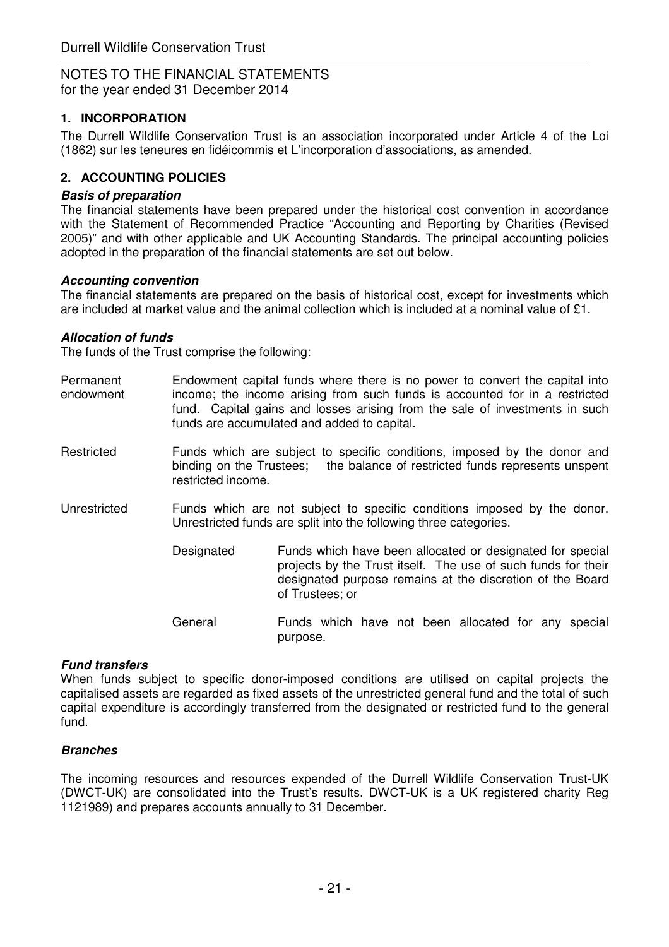# **1. INCORPORATION**

The Durrell Wildlife Conservation Trust is an association incorporated under Article 4 of the Loi (1862) sur les teneures en fidéicommis et L'incorporation d'associations, as amended.

## **2. ACCOUNTING POLICIES**

### **Basis of preparation**

The financial statements have been prepared under the historical cost convention in accordance with the Statement of Recommended Practice "Accounting and Reporting by Charities (Revised 2005)" and with other applicable and UK Accounting Standards. The principal accounting policies adopted in the preparation of the financial statements are set out below.

### **Accounting convention**

The financial statements are prepared on the basis of historical cost, except for investments which are included at market value and the animal collection which is included at a nominal value of £1.

### **Allocation of funds**

The funds of the Trust comprise the following:

- Permanent endowment Endowment capital funds where there is no power to convert the capital into income; the income arising from such funds is accounted for in a restricted fund. Capital gains and losses arising from the sale of investments in such funds are accumulated and added to capital.
- Restricted Funds which are subject to specific conditions, imposed by the donor and binding on the Trustees; the balance of restricted funds represents unspent restricted income.
- Unrestricted Funds which are not subject to specific conditions imposed by the donor. Unrestricted funds are split into the following three categories.
	- **Designated** Funds which have been allocated or designated for special projects by the Trust itself. The use of such funds for their designated purpose remains at the discretion of the Board of Trustees; or
	- **General** Funds which have not been allocated for any special purpose.

### **Fund transfers**

When funds subject to specific donor-imposed conditions are utilised on capital projects the capitalised assets are regarded as fixed assets of the unrestricted general fund and the total of such capital expenditure is accordingly transferred from the designated or restricted fund to the general fund.

### **Branches**

The incoming resources and resources expended of the Durrell Wildlife Conservation Trust-UK (DWCT-UK) are consolidated into the Trust's results. DWCT-UK is a UK registered charity Reg 1121989) and prepares accounts annually to 31 December.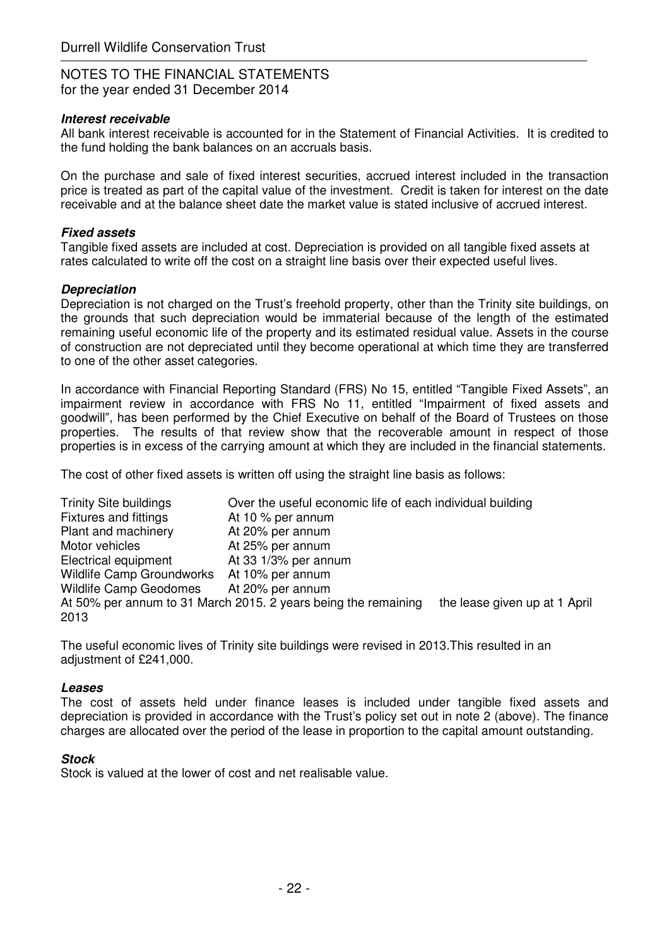### **Interest receivable**

All bank interest receivable is accounted for in the Statement of Financial Activities. It is credited to the fund holding the bank balances on an accruals basis.

On the purchase and sale of fixed interest securities, accrued interest included in the transaction price is treated as part of the capital value of the investment. Credit is taken for interest on the date receivable and at the balance sheet date the market value is stated inclusive of accrued interest.

### **Fixed assets**

Tangible fixed assets are included at cost. Depreciation is provided on all tangible fixed assets at rates calculated to write off the cost on a straight line basis over their expected useful lives.

### **Depreciation**

Depreciation is not charged on the Trust's freehold property, other than the Trinity site buildings, on the grounds that such depreciation would be immaterial because of the length of the estimated remaining useful economic life of the property and its estimated residual value. Assets in the course of construction are not depreciated until they become operational at which time they are transferred to one of the other asset categories.

In accordance with Financial Reporting Standard (FRS) No 15, entitled "Tangible Fixed Assets", an impairment review in accordance with FRS No 11, entitled "Impairment of fixed assets and goodwill", has been performed by the Chief Executive on behalf of the Board of Trustees on those properties. The results of that review show that the recoverable amount in respect of those properties is in excess of the carrying amount at which they are included in the financial statements.

The cost of other fixed assets is written off using the straight line basis as follows:

| <b>Trinity Site buildings</b> | Over the useful economic life of each individual building      |                               |
|-------------------------------|----------------------------------------------------------------|-------------------------------|
| Fixtures and fittings         | At 10 % per annum                                              |                               |
| Plant and machinery           | At 20% per annum                                               |                               |
| Motor vehicles                | At 25% per annum                                               |                               |
| Electrical equipment          | At 33 $1/3\%$ per annum                                        |                               |
| Wildlife Camp Groundworks     | At 10% per annum                                               |                               |
| <b>Wildlife Camp Geodomes</b> | At 20% per annum                                               |                               |
| 2013                          | At 50% per annum to 31 March 2015. 2 years being the remaining | the lease given up at 1 April |

The useful economic lives of Trinity site buildings were revised in 2013.This resulted in an adjustment of £241,000.

#### **Leases**

The cost of assets held under finance leases is included under tangible fixed assets and depreciation is provided in accordance with the Trust's policy set out in note 2 (above). The finance charges are allocated over the period of the lease in proportion to the capital amount outstanding.

#### **Stock**

Stock is valued at the lower of cost and net realisable value.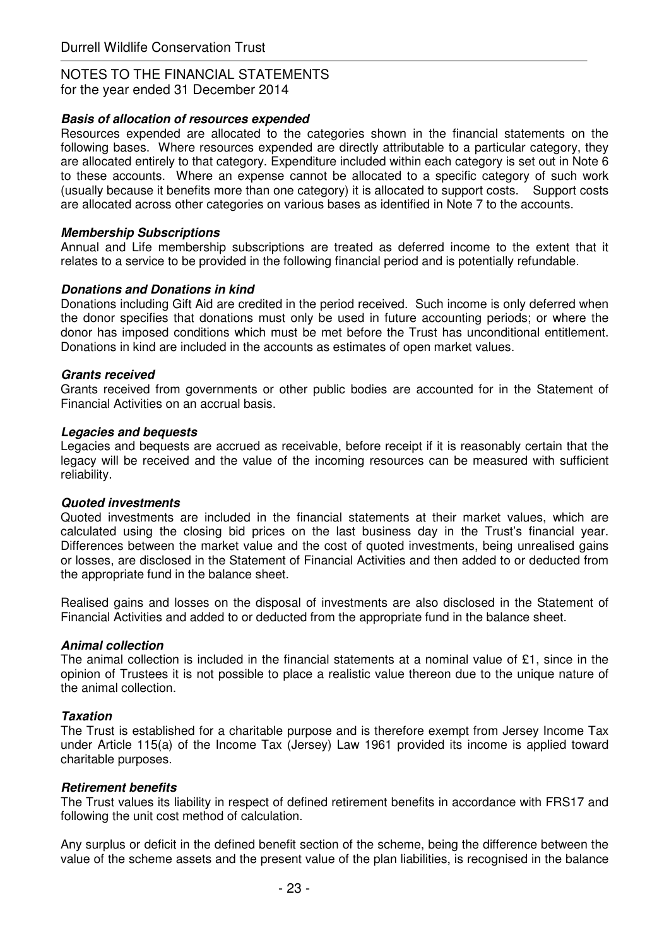### **Basis of allocation of resources expended**

Resources expended are allocated to the categories shown in the financial statements on the following bases. Where resources expended are directly attributable to a particular category, they are allocated entirely to that category. Expenditure included within each category is set out in Note 6 to these accounts. Where an expense cannot be allocated to a specific category of such work (usually because it benefits more than one category) it is allocated to support costs. Support costs are allocated across other categories on various bases as identified in Note 7 to the accounts.

### **Membership Subscriptions**

Annual and Life membership subscriptions are treated as deferred income to the extent that it relates to a service to be provided in the following financial period and is potentially refundable.

### **Donations and Donations in kind**

Donations including Gift Aid are credited in the period received. Such income is only deferred when the donor specifies that donations must only be used in future accounting periods; or where the donor has imposed conditions which must be met before the Trust has unconditional entitlement. Donations in kind are included in the accounts as estimates of open market values.

### **Grants received**

Grants received from governments or other public bodies are accounted for in the Statement of Financial Activities on an accrual basis.

#### **Legacies and bequests**

Legacies and bequests are accrued as receivable, before receipt if it is reasonably certain that the legacy will be received and the value of the incoming resources can be measured with sufficient reliability.

#### **Quoted investments**

Quoted investments are included in the financial statements at their market values, which are calculated using the closing bid prices on the last business day in the Trust's financial year. Differences between the market value and the cost of quoted investments, being unrealised gains or losses, are disclosed in the Statement of Financial Activities and then added to or deducted from the appropriate fund in the balance sheet.

Realised gains and losses on the disposal of investments are also disclosed in the Statement of Financial Activities and added to or deducted from the appropriate fund in the balance sheet.

#### **Animal collection**

The animal collection is included in the financial statements at a nominal value of  $£1$ , since in the opinion of Trustees it is not possible to place a realistic value thereon due to the unique nature of the animal collection.

#### **Taxation**

The Trust is established for a charitable purpose and is therefore exempt from Jersey Income Tax under Article 115(a) of the Income Tax (Jersey) Law 1961 provided its income is applied toward charitable purposes.

#### **Retirement benefits**

The Trust values its liability in respect of defined retirement benefits in accordance with FRS17 and following the unit cost method of calculation.

Any surplus or deficit in the defined benefit section of the scheme, being the difference between the value of the scheme assets and the present value of the plan liabilities, is recognised in the balance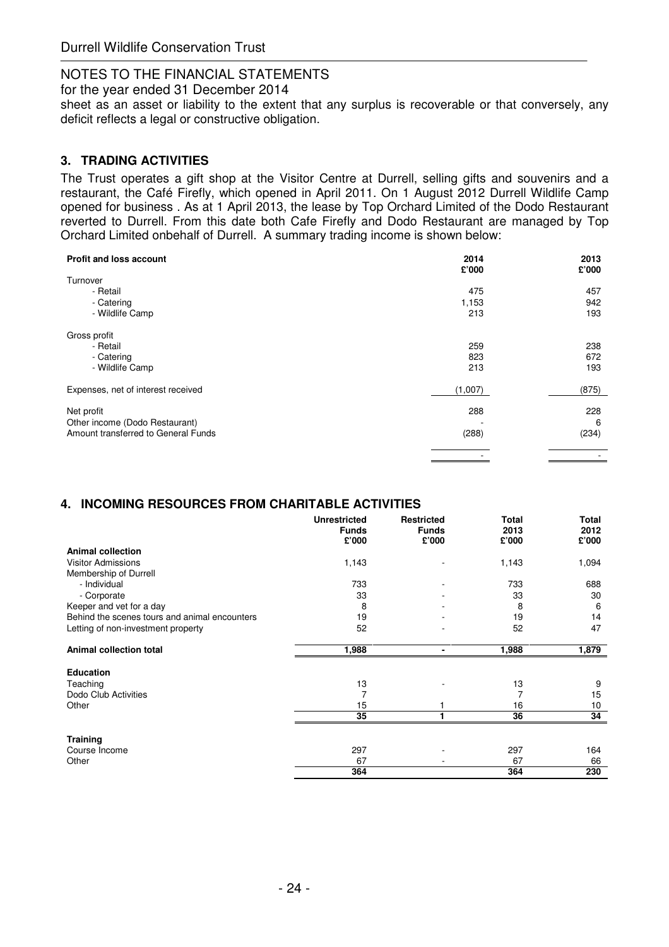# NOTES TO THE FINANCIAL STATEMENTS

for the year ended 31 December 2014

sheet as an asset or liability to the extent that any surplus is recoverable or that conversely, any deficit reflects a legal or constructive obligation.

## **3. TRADING ACTIVITIES**

The Trust operates a gift shop at the Visitor Centre at Durrell, selling gifts and souvenirs and a restaurant, the Café Firefly, which opened in April 2011. On 1 August 2012 Durrell Wildlife Camp opened for business . As at 1 April 2013, the lease by Top Orchard Limited of the Dodo Restaurant reverted to Durrell. From this date both Cafe Firefly and Dodo Restaurant are managed by Top Orchard Limited onbehalf of Durrell. A summary trading income is shown below:

| <b>Profit and loss account</b>                                                      | 2014<br>£'000     | 2013<br>£'000     |
|-------------------------------------------------------------------------------------|-------------------|-------------------|
| Turnover<br>- Retail<br>- Catering                                                  | 475<br>1,153      | 457<br>942        |
| - Wildlife Camp                                                                     | 213               | 193               |
| Gross profit<br>- Retail<br>- Catering<br>- Wildlife Camp                           | 259<br>823<br>213 | 238<br>672<br>193 |
| Expenses, net of interest received                                                  | (1,007)           | (875)             |
| Net profit<br>Other income (Dodo Restaurant)<br>Amount transferred to General Funds | 288<br>(288)      | 228<br>6<br>(234) |
|                                                                                     |                   |                   |

### **4. INCOMING RESOURCES FROM CHARITABLE ACTIVITIES**

|                                               | <b>Unrestricted</b><br><b>Funds</b><br>£'000 | <b>Restricted</b><br><b>Funds</b><br>£'000 | Total<br>2013<br>£'000 | <b>Total</b><br>2012<br>£'000 |
|-----------------------------------------------|----------------------------------------------|--------------------------------------------|------------------------|-------------------------------|
| <b>Animal collection</b>                      |                                              |                                            |                        |                               |
| <b>Visitor Admissions</b>                     | 1,143                                        |                                            | 1,143                  | 1,094                         |
| Membership of Durrell                         |                                              |                                            |                        |                               |
| - Individual                                  | 733                                          |                                            | 733                    | 688                           |
| - Corporate                                   | 33                                           |                                            | 33                     | 30                            |
| Keeper and vet for a day                      | 8                                            |                                            | 8                      | 6                             |
| Behind the scenes tours and animal encounters | 19                                           |                                            | 19                     | 14                            |
| Letting of non-investment property            | 52                                           |                                            | 52                     | 47                            |
| <b>Animal collection total</b>                | 1,988                                        | ۰                                          | 1,988                  | 1,879                         |
| <b>Education</b>                              |                                              |                                            |                        |                               |
| Teaching                                      | 13                                           |                                            | 13                     | 9                             |
| Dodo Club Activities                          |                                              |                                            | 7                      | 15                            |
| Other                                         | 15                                           |                                            | 16                     | 10                            |
|                                               | 35                                           |                                            | 36                     | 34                            |
| <b>Training</b>                               |                                              |                                            |                        |                               |
| Course Income                                 | 297                                          |                                            | 297                    | 164                           |
| Other                                         | 67                                           |                                            | 67                     | 66                            |
|                                               | 364                                          |                                            | 364                    | 230                           |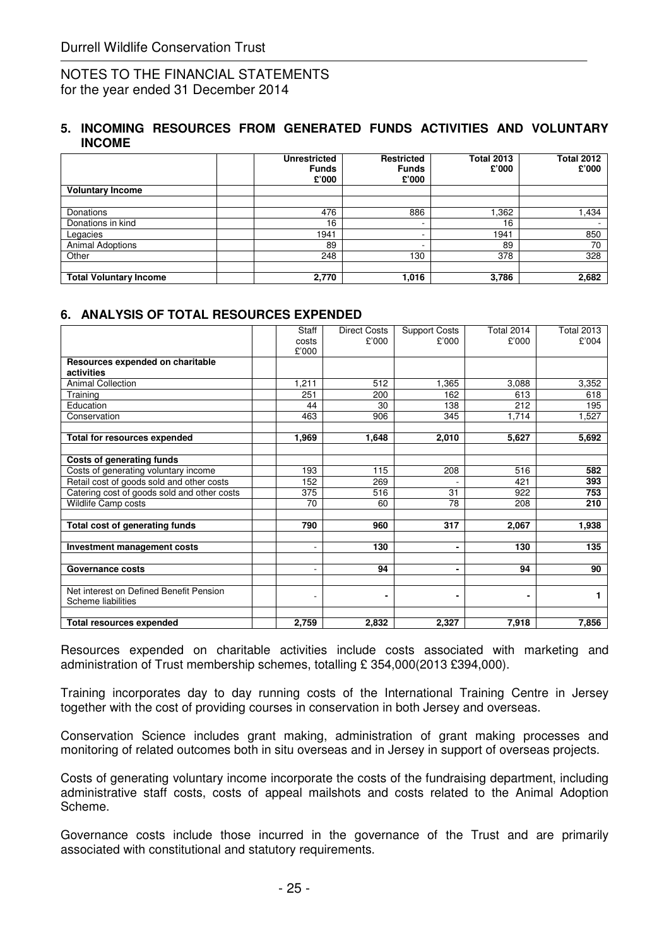### **5. INCOMING RESOURCES FROM GENERATED FUNDS ACTIVITIES AND VOLUNTARY INCOME**

|                               | <b>Unrestricted</b><br><b>Funds</b><br>£'000 | Restricted<br><b>Funds</b><br>£'000 | <b>Total 2013</b><br>£'000 | <b>Total 2012</b><br>£'000 |
|-------------------------------|----------------------------------------------|-------------------------------------|----------------------------|----------------------------|
| <b>Voluntary Income</b>       |                                              |                                     |                            |                            |
|                               |                                              |                                     |                            |                            |
| Donations                     | 476                                          | 886                                 | .362                       | 1,434                      |
| Donations in kind             | 16                                           | -                                   | 16                         | $\overline{\phantom{a}}$   |
| Legacies                      | 1941                                         | -                                   | 1941                       | 850                        |
| <b>Animal Adoptions</b>       | 89                                           | -                                   | 89                         | 70                         |
| Other                         | 248                                          | 130                                 | 378                        | 328                        |
|                               |                                              |                                     |                            |                            |
| <b>Total Voluntary Income</b> | 2,770                                        | 1,016                               | 3,786                      | 2,682                      |

### **6. ANALYSIS OF TOTAL RESOURCES EXPENDED**

|                                                                                                  | <b>Staff</b><br>costs<br>£'000 | <b>Direct Costs</b><br>£'000 | <b>Support Costs</b><br>£'000 | Total 2014<br>£'000 | <b>Total 2013</b><br>£'004 |
|--------------------------------------------------------------------------------------------------|--------------------------------|------------------------------|-------------------------------|---------------------|----------------------------|
| Resources expended on charitable                                                                 |                                |                              |                               |                     |                            |
| activities                                                                                       |                                |                              |                               |                     |                            |
| <b>Animal Collection</b>                                                                         | 1,211                          | 512                          | 1,365                         | 3,088               | 3,352                      |
| Training                                                                                         | 251                            | 200                          | 162                           | 613                 | 618                        |
| Education                                                                                        | 44                             | 30                           | 138                           | 212                 | 195                        |
| Conservation                                                                                     | 463                            | 906                          | 345                           | 1,714               | 1,527                      |
|                                                                                                  |                                |                              |                               |                     |                            |
| <b>Total for resources expended</b>                                                              | 1,969                          | 1,648                        | 2,010                         | 5,627               | 5,692                      |
|                                                                                                  |                                |                              |                               |                     |                            |
| Costs of generating funds                                                                        |                                |                              |                               |                     |                            |
| Costs of generating voluntary income                                                             | 193                            | 115                          | 208                           | 516                 | 582                        |
| Retail cost of goods sold and other costs                                                        | 152                            | 269                          |                               | 421                 | 393                        |
| Catering cost of goods sold and other costs                                                      | 375                            | 516                          | 31                            | 922                 | 753                        |
| <b>Wildlife Camp costs</b>                                                                       | 70                             | 60                           | 78                            | 208                 | 210                        |
|                                                                                                  |                                |                              |                               |                     |                            |
| Total cost of generating funds                                                                   | 790                            | 960                          | 317                           | 2,067               | 1,938                      |
|                                                                                                  |                                |                              |                               |                     |                            |
| Investment management costs                                                                      | $\overline{\phantom{a}}$       | 130                          | ٠                             | 130                 | 135                        |
|                                                                                                  |                                |                              |                               |                     |                            |
| <b>Governance costs</b>                                                                          | ٠                              | 94                           | ۰                             | 94                  | 90                         |
|                                                                                                  |                                |                              |                               |                     |                            |
|                                                                                                  |                                | ٠                            | -                             | ٠                   | 1                          |
|                                                                                                  |                                |                              |                               |                     |                            |
|                                                                                                  |                                |                              |                               |                     |                            |
| Net interest on Defined Benefit Pension<br>Scheme liabilities<br><b>Total resources expended</b> | 2,759                          | 2,832                        | 2,327                         | 7,918               | 7,856                      |

Resources expended on charitable activities include costs associated with marketing and administration of Trust membership schemes, totalling £ 354,000(2013 £394,000).

Training incorporates day to day running costs of the International Training Centre in Jersey together with the cost of providing courses in conservation in both Jersey and overseas.

Conservation Science includes grant making, administration of grant making processes and monitoring of related outcomes both in situ overseas and in Jersey in support of overseas projects.

Costs of generating voluntary income incorporate the costs of the fundraising department, including administrative staff costs, costs of appeal mailshots and costs related to the Animal Adoption Scheme.

Governance costs include those incurred in the governance of the Trust and are primarily associated with constitutional and statutory requirements.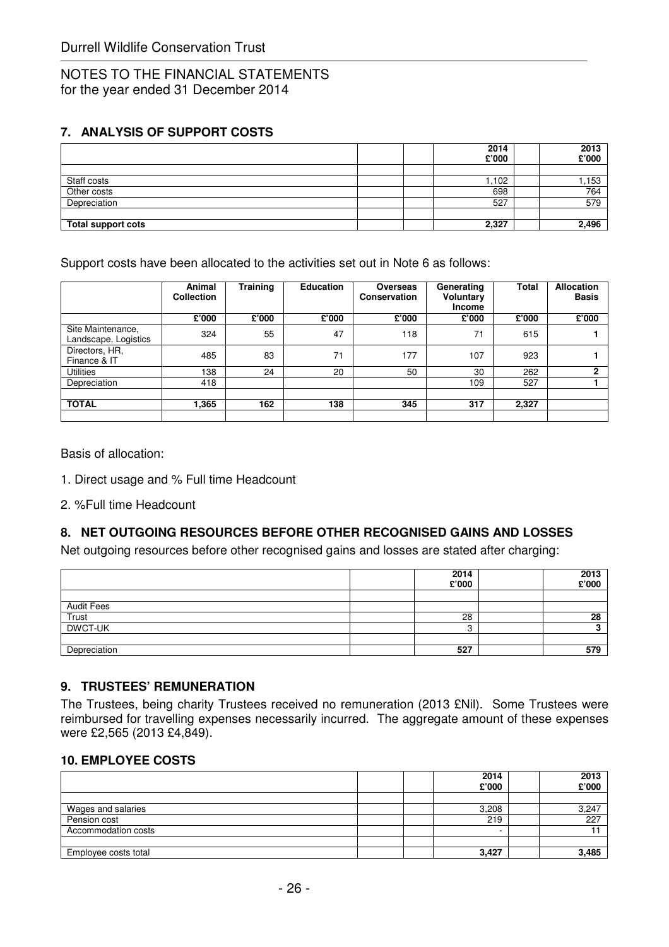# **7. ANALYSIS OF SUPPORT COSTS**

|                    |  | 2014<br>£'000 | 2013<br>£'000 |
|--------------------|--|---------------|---------------|
|                    |  |               |               |
| Staff costs        |  | .102          | 1,153         |
| Other costs        |  | 698           | 764           |
| Depreciation       |  | 527           | 579           |
|                    |  |               |               |
| Total support cots |  | 2,327         | 2,496         |

Support costs have been allocated to the activities set out in Note 6 as follows:

|                                           | Animal<br><b>Collection</b> | Training | <b>Education</b> | Overseas<br>Conservation | Generating<br><b>Voluntary</b><br><b>Income</b> | <b>Total</b> | <b>Allocation</b><br><b>Basis</b> |
|-------------------------------------------|-----------------------------|----------|------------------|--------------------------|-------------------------------------------------|--------------|-----------------------------------|
|                                           | £'000                       | £'000    | £'000            | £'000                    | £'000                                           | £'000        | £'000                             |
| Site Maintenance,<br>Landscape, Logistics | 324                         | 55       | 47               | 118                      | 71                                              | 615          |                                   |
| Directors, HR,<br>Finance & IT            | 485                         | 83       | 71               | 177                      | 107                                             | 923          |                                   |
| <b>Utilities</b>                          | 138                         | 24       | 20               | 50                       | 30                                              | 262          | C                                 |
| Depreciation                              | 418                         |          |                  |                          | 109                                             | 527          |                                   |
|                                           |                             |          |                  |                          |                                                 |              |                                   |
| <b>TOTAL</b>                              | 1,365                       | 162      | 138              | 345                      | 317                                             | 2,327        |                                   |
|                                           |                             |          |                  |                          |                                                 |              |                                   |

Basis of allocation:

- 1. Direct usage and % Full time Headcount
- 2. %Full time Headcount

# **8. NET OUTGOING RESOURCES BEFORE OTHER RECOGNISED GAINS AND LOSSES**

Net outgoing resources before other recognised gains and losses are stated after charging:

|                   | 2014<br>£'000 | 2013<br>£'000 |
|-------------------|---------------|---------------|
|                   |               |               |
| <b>Audit Fees</b> |               |               |
| Trust             | 28            | 28            |
| <b>DWCT-UK</b>    |               |               |
|                   |               |               |
| Depreciation      | 527           | 579           |

# **9. TRUSTEES' REMUNERATION**

The Trustees, being charity Trustees received no remuneration (2013 £Nil). Some Trustees were reimbursed for travelling expenses necessarily incurred. The aggregate amount of these expenses were £2,565 (2013 £4,849).

## **10. EMPLOYEE COSTS**

|                      | 2014  | 2013  |
|----------------------|-------|-------|
|                      | £'000 | £'000 |
|                      |       |       |
| Wages and salaries   | 3,208 | 3,247 |
| Pension cost         | 219   | 227   |
| Accommodation costs  | -     |       |
|                      |       |       |
| Employee costs total | 3,427 | 3,485 |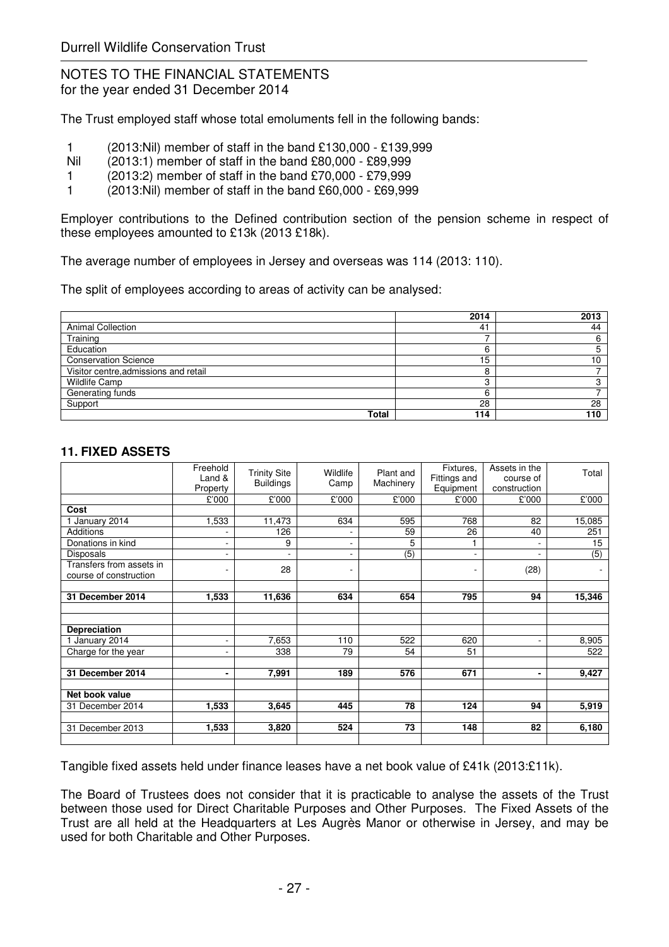The Trust employed staff whose total emoluments fell in the following bands:

- 1 (2013:Nil) member of staff in the band £130,000 £139,999
- Nil (2013:1) member of staff in the band £80,000 £89,999
- 1 (2013:2) member of staff in the band £70,000 £79,999<br>1 (2013:Nil) member of staff in the band £60,000 £69,999
- $(2013:Nil)$  member of staff in the band £60,000 £69,999

Employer contributions to the Defined contribution section of the pension scheme in respect of these employees amounted to £13k (2013 £18k).

The average number of employees in Jersey and overseas was 114 (2013: 110).

The split of employees according to areas of activity can be analysed:

|                                       | 2014 | 2013 |
|---------------------------------------|------|------|
| <b>Animal Collection</b>              | 41   | 44   |
| Training                              |      |      |
| Education                             | 6    |      |
| <b>Conservation Science</b>           | 15   | 10   |
| Visitor centre, admissions and retail | 8    |      |
| <b>Wildlife Camp</b>                  | c    |      |
| Generating funds                      | 6    |      |
| Support                               | 28   | 28   |
| Total                                 | 114  | 110  |

## **11. FIXED ASSETS**

|                                                    | Freehold<br>Land &<br>Property | <b>Trinity Site</b><br><b>Buildings</b> | Wildlife<br>Camp         | Plant and<br>Machinery | Fixtures,<br>Fittings and<br>Equipment | Assets in the<br>course of<br>construction | Total  |
|----------------------------------------------------|--------------------------------|-----------------------------------------|--------------------------|------------------------|----------------------------------------|--------------------------------------------|--------|
|                                                    | £'000                          | £'000                                   | £'000                    | £'000                  | £'000                                  | £'000                                      | £'000  |
| Cost                                               |                                |                                         |                          |                        |                                        |                                            |        |
| January 2014                                       | 1,533                          | 11,473                                  | 634                      | 595                    | 768                                    | 82                                         | 15,085 |
| <b>Additions</b>                                   |                                | 126                                     |                          | 59                     | 26                                     | 40                                         | 251    |
| Donations in kind                                  | ۰                              | 9                                       |                          | 5                      |                                        |                                            | 15     |
| <b>Disposals</b>                                   | ۰                              | ۰                                       | ٠                        | $\overline{(5)}$       | ۰                                      |                                            | (5)    |
| Transfers from assets in<br>course of construction | ٠                              | 28                                      | $\overline{\phantom{a}}$ |                        | ۰                                      | (28)                                       |        |
|                                                    |                                |                                         |                          |                        |                                        |                                            |        |
| 31 December 2014                                   | 1,533                          | 11,636                                  | 634                      | 654                    | 795                                    | 94                                         | 15,346 |
|                                                    |                                |                                         |                          |                        |                                        |                                            |        |
|                                                    |                                |                                         |                          |                        |                                        |                                            |        |
| <b>Depreciation</b>                                |                                |                                         |                          |                        |                                        |                                            |        |
| 1 January 2014                                     | ٠                              | 7,653                                   | 110                      | 522                    | 620                                    |                                            | 8,905  |
| Charge for the year                                | ٠                              | 338                                     | 79                       | 54                     | 51                                     |                                            | 522    |
|                                                    |                                |                                         |                          |                        |                                        |                                            |        |
| 31 December 2014                                   | $\blacksquare$                 | 7,991                                   | 189                      | 576                    | 671                                    | ٠                                          | 9,427  |
|                                                    |                                |                                         |                          |                        |                                        |                                            |        |
| Net book value                                     |                                |                                         |                          |                        |                                        |                                            |        |
| 31 December 2014                                   | 1,533                          | 3,645                                   | 445                      | 78                     | 124                                    | 94                                         | 5,919  |
|                                                    |                                |                                         |                          |                        |                                        |                                            |        |
| 31 December 2013                                   | 1,533                          | 3,820                                   | 524                      | 73                     | 148                                    | 82                                         | 6,180  |
|                                                    |                                |                                         |                          |                        |                                        |                                            |        |

Tangible fixed assets held under finance leases have a net book value of £41k (2013:£11k).

The Board of Trustees does not consider that it is practicable to analyse the assets of the Trust between those used for Direct Charitable Purposes and Other Purposes. The Fixed Assets of the Trust are all held at the Headquarters at Les Augrès Manor or otherwise in Jersey, and may be used for both Charitable and Other Purposes.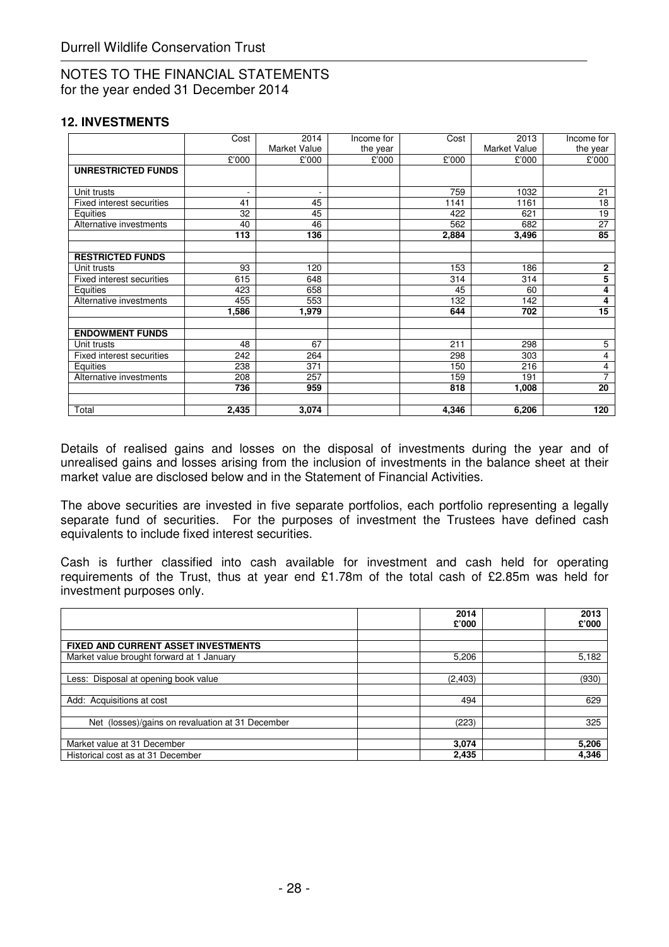### **12. INVESTMENTS**

|                           | Cost           | 2014         | Income for | Cost  | 2013         | Income for     |
|---------------------------|----------------|--------------|------------|-------|--------------|----------------|
|                           |                | Market Value | the year   |       | Market Value | the year       |
|                           | £'000          | £'000        | £'000      | £'000 | £'000        | £'000          |
| <b>UNRESTRICTED FUNDS</b> |                |              |            |       |              |                |
| Unit trusts               | $\overline{a}$ |              |            | 759   | 1032         | 21             |
| Fixed interest securities | 41             | 45           |            | 1141  | 1161         | 18             |
| Equities                  | 32             | 45           |            | 422   | 621          | 19             |
| Alternative investments   | 40             | 46           |            | 562   | 682          | 27             |
|                           | 113            | 136          |            | 2,884 | 3,496        | 85             |
| <b>RESTRICTED FUNDS</b>   |                |              |            |       |              |                |
| Unit trusts               | 93             | 120          |            | 153   | 186          | $\overline{2}$ |
| Fixed interest securities | 615            | 648          |            | 314   | 314          | 5              |
| Equities                  | 423            | 658          |            | 45    | 60           | 4              |
| Alternative investments   | 455            | 553          |            | 132   | 142          | 4              |
|                           | 1,586          | 1,979        |            | 644   | 702          | 15             |
| <b>ENDOWMENT FUNDS</b>    |                |              |            |       |              |                |
| Unit trusts               | 48             | 67           |            | 211   | 298          | $\overline{5}$ |
| Fixed interest securities | 242            | 264          |            | 298   | 303          | $\overline{4}$ |
| Equities                  | 238            | 371          |            | 150   | 216          | 4              |
| Alternative investments   | 208            | 257          |            | 159   | 191          | $\overline{7}$ |
|                           | 736            | 959          |            | 818   | 1,008        | 20             |
| Total                     | 2,435          | 3,074        |            | 4,346 | 6,206        | 120            |

Details of realised gains and losses on the disposal of investments during the year and of unrealised gains and losses arising from the inclusion of investments in the balance sheet at their market value are disclosed below and in the Statement of Financial Activities.

The above securities are invested in five separate portfolios, each portfolio representing a legally separate fund of securities. For the purposes of investment the Trustees have defined cash equivalents to include fixed interest securities.

Cash is further classified into cash available for investment and cash held for operating requirements of the Trust, thus at year end £1.78m of the total cash of £2.85m was held for investment purposes only.

|                                                  | 2014    | 2013  |
|--------------------------------------------------|---------|-------|
|                                                  | £'000   | £'000 |
|                                                  |         |       |
| FIXED AND CURRENT ASSET INVESTMENTS              |         |       |
| Market value brought forward at 1 January        | 5,206   | 5,182 |
|                                                  |         |       |
| Less: Disposal at opening book value             | (2,403) | (930) |
|                                                  |         |       |
| Add: Acquisitions at cost                        | 494     | 629   |
|                                                  |         |       |
| Net (losses)/gains on revaluation at 31 December | (223)   | 325   |
|                                                  |         |       |
| Market value at 31 December                      | 3,074   | 5,206 |
| Historical cost as at 31 December                | 2,435   | 4,346 |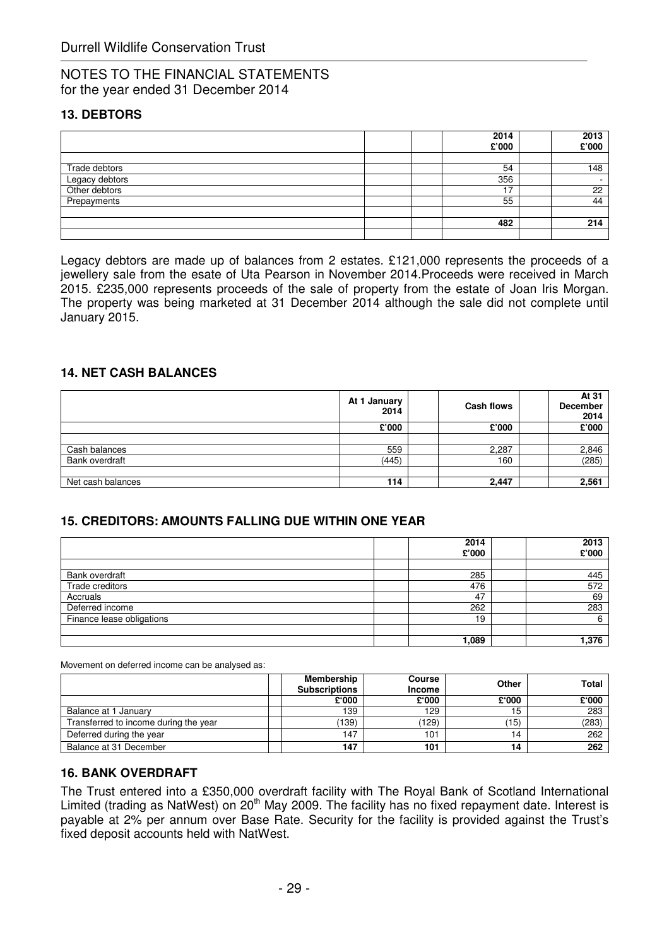## **13. DEBTORS**

|                | 2014<br>£'000  | 2013<br>£'000 |
|----------------|----------------|---------------|
|                |                |               |
| Trade debtors  | 54             | 148           |
| Legacy debtors | 356            | ۰             |
| Other debtors  | $\overline{ }$ | 22            |
| Prepayments    | 55             | 44            |
|                |                |               |
|                | 482            | 214           |
|                |                |               |

Legacy debtors are made up of balances from 2 estates. £121,000 represents the proceeds of a jewellery sale from the esate of Uta Pearson in November 2014.Proceeds were received in March 2015. £235,000 represents proceeds of the sale of property from the estate of Joan Iris Morgan. The property was being marketed at 31 December 2014 although the sale did not complete until January 2015.

### **14. NET CASH BALANCES**

|                   | At 1 January<br>2014 | Cash flows | At 31<br><b>December</b><br>2014 |
|-------------------|----------------------|------------|----------------------------------|
|                   | £'000                | £'000      | E,000                            |
|                   |                      |            |                                  |
| Cash balances     | 559                  | 2,287      | 2,846                            |
| Bank overdraft    | (445)                | 160        | (285)                            |
|                   |                      |            |                                  |
| Net cash balances | 114                  | 2,447      | 2,561                            |

# **15. CREDITORS: AMOUNTS FALLING DUE WITHIN ONE YEAR**

|                           | 2014  | 2013  |
|---------------------------|-------|-------|
|                           | £'000 | £'000 |
|                           |       |       |
| Bank overdraft            | 285   | 445   |
| Trade creditors           | 476   | 572   |
| Accruals                  | 47    | 69    |
| Deferred income           | 262   | 283   |
| Finance lease obligations | 19    | 6     |
|                           |       |       |
|                           | 089.  | 1,376 |

Movement on deferred income can be analysed as:

|                                       | Membership<br><b>Subscriptions</b> | Course<br><b>Income</b> | <b>Other</b> | <b>Total</b> |
|---------------------------------------|------------------------------------|-------------------------|--------------|--------------|
|                                       | £'000                              | £'000                   | £'000        | £'000        |
| Balance at 1 January                  | 139                                | 129                     | 15           | 283          |
| Transferred to income during the year | (139)                              | (129)                   | (15)         | (283)        |
| Deferred during the year              | 147                                | 101                     | 14           | 262          |
| Balance at 31 December                | 147                                | 101                     | 14           | 262          |

### **16. BANK OVERDRAFT**

The Trust entered into a £350,000 overdraft facility with The Royal Bank of Scotland International Limited (trading as NatWest) on 20<sup>th</sup> May 2009. The facility has no fixed repayment date. Interest is payable at 2% per annum over Base Rate. Security for the facility is provided against the Trust's fixed deposit accounts held with NatWest.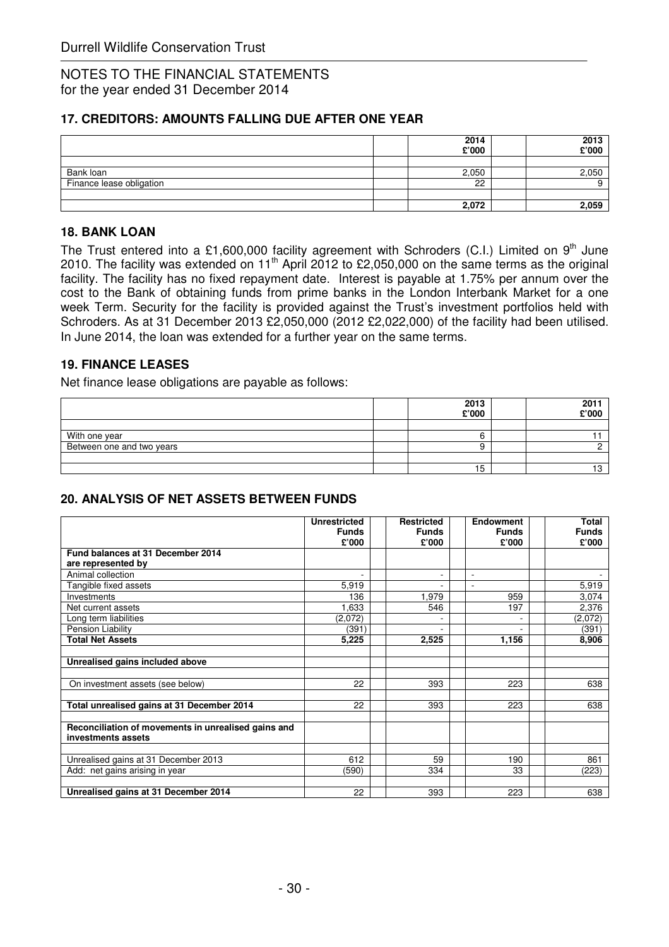# **17. CREDITORS: AMOUNTS FALLING DUE AFTER ONE YEAR**

|                          | 2014<br>£'000 | 2013<br>£'000 |
|--------------------------|---------------|---------------|
| Bank loan                | 2,050         | 2,050         |
| Finance lease obligation | 22            |               |
|                          | 2,072         | 2,059         |

### **18. BANK LOAN**

The Trust entered into a £1,600,000 facility agreement with Schroders (C.I.) Limited on  $9<sup>th</sup>$  June 2010. The facility was extended on 11<sup>th</sup> April 2012 to £2,050,000 on the same terms as the original facility. The facility has no fixed repayment date. Interest is payable at 1.75% per annum over the cost to the Bank of obtaining funds from prime banks in the London Interbank Market for a one week Term. Security for the facility is provided against the Trust's investment portfolios held with Schroders. As at 31 December 2013 £2,050,000 (2012 £2,022,000) of the facility had been utilised. In June 2014, the loan was extended for a further year on the same terms.

### **19. FINANCE LEASES**

Net finance lease obligations are payable as follows:

|                           | 2013  | 2011  |
|---------------------------|-------|-------|
|                           | £'000 | £'000 |
|                           |       |       |
| With one year             |       |       |
| Between one and two years |       |       |
|                           |       |       |
|                           | ں ا   |       |

# **20. ANALYSIS OF NET ASSETS BETWEEN FUNDS**

|                                                                           | <b>Unrestricted</b><br><b>Funds</b> | <b>Restricted</b><br><b>Funds</b> | <b>Endowment</b><br><b>Funds</b> | Total<br><b>Funds</b> |
|---------------------------------------------------------------------------|-------------------------------------|-----------------------------------|----------------------------------|-----------------------|
|                                                                           | £'000                               | £'000                             | £'000                            | £'000                 |
| Fund balances at 31 December 2014                                         |                                     |                                   |                                  |                       |
| are represented by                                                        |                                     |                                   |                                  |                       |
| Animal collection                                                         |                                     |                                   | ä,                               |                       |
| Tangible fixed assets                                                     | 5,919                               |                                   | ٠                                | 5,919                 |
| Investments                                                               | 136                                 | 1,979                             | 959                              | 3,074                 |
| Net current assets                                                        | 1,633                               | 546                               | 197                              | 2,376                 |
| Long term liabilities                                                     | (2,072)                             |                                   |                                  | (2,072)               |
| Pension Liability                                                         | (391)                               |                                   |                                  | (391)                 |
| <b>Total Net Assets</b>                                                   | 5,225                               | 2,525                             | 1,156                            | 8,906                 |
|                                                                           |                                     |                                   |                                  |                       |
| Unrealised gains included above                                           |                                     |                                   |                                  |                       |
|                                                                           |                                     |                                   |                                  |                       |
| On investment assets (see below)                                          | 22                                  | 393                               | 223                              | 638                   |
|                                                                           |                                     |                                   |                                  |                       |
| Total unrealised gains at 31 December 2014                                | 22                                  | 393                               | 223                              | 638                   |
|                                                                           |                                     |                                   |                                  |                       |
| Reconciliation of movements in unrealised gains and<br>investments assets |                                     |                                   |                                  |                       |
|                                                                           |                                     |                                   |                                  |                       |
| Unrealised gains at 31 December 2013                                      | 612                                 | 59                                | 190                              | 861                   |
| Add: net gains arising in year                                            | (590)                               | 334                               | 33                               | (223)                 |
|                                                                           |                                     |                                   |                                  |                       |
| Unrealised gains at 31 December 2014                                      | 22                                  | 393                               | 223                              | 638                   |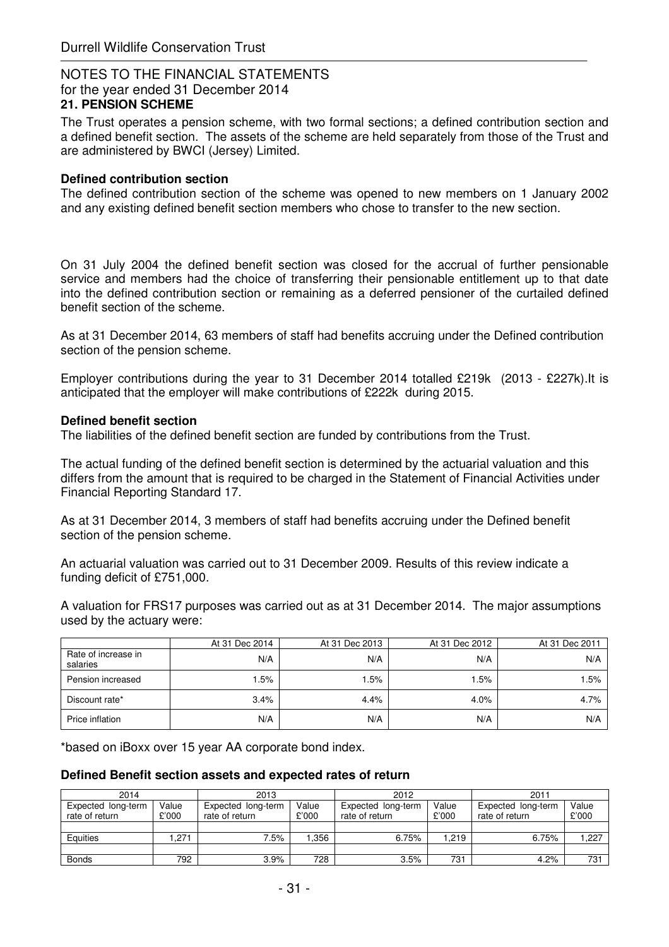#### NOTES TO THE FINANCIAL STATEMENTS for the year ended 31 December 2014 **21. PENSION SCHEME**

The Trust operates a pension scheme, with two formal sections; a defined contribution section and a defined benefit section. The assets of the scheme are held separately from those of the Trust and are administered by BWCI (Jersey) Limited.

### **Defined contribution section**

The defined contribution section of the scheme was opened to new members on 1 January 2002 and any existing defined benefit section members who chose to transfer to the new section.

On 31 July 2004 the defined benefit section was closed for the accrual of further pensionable service and members had the choice of transferring their pensionable entitlement up to that date into the defined contribution section or remaining as a deferred pensioner of the curtailed defined benefit section of the scheme.

As at 31 December 2014, 63 members of staff had benefits accruing under the Defined contribution section of the pension scheme.

Employer contributions during the year to 31 December 2014 totalled £219k (2013 - £227k).It is anticipated that the employer will make contributions of £222k during 2015.

### **Defined benefit section**

The liabilities of the defined benefit section are funded by contributions from the Trust.

The actual funding of the defined benefit section is determined by the actuarial valuation and this differs from the amount that is required to be charged in the Statement of Financial Activities under Financial Reporting Standard 17.

As at 31 December 2014, 3 members of staff had benefits accruing under the Defined benefit section of the pension scheme.

An actuarial valuation was carried out to 31 December 2009. Results of this review indicate a funding deficit of £751,000.

A valuation for FRS17 purposes was carried out as at 31 December 2014. The major assumptions used by the actuary were:

|                                 | At 31 Dec 2014 | At 31 Dec 2013 | At 31 Dec 2012 | At 31 Dec 2011 |
|---------------------------------|----------------|----------------|----------------|----------------|
| Rate of increase in<br>salaries | N/A            | N/A            | N/A            | N/A            |
| Pension increased               | .5%            | 1.5%           | .5%            | 1.5%           |
| Discount rate*                  | 3.4%           | 4.4%           | 4.0%           | 4.7%           |
| Price inflation                 | N/A            | N/A            | N/A            | N/A            |

\*based on iBoxx over 15 year AA corporate bond index.

#### **Defined Benefit section assets and expected rates of return**

| 2014                                 | 2013           |                                      | 2012           |                                      | 2011           |                                      |                |
|--------------------------------------|----------------|--------------------------------------|----------------|--------------------------------------|----------------|--------------------------------------|----------------|
| Expected long-term<br>rate of return | Value<br>£'000 | Expected long-term<br>rate of return | Value<br>£'000 | Expected long-term<br>rate of return | Value<br>£'000 | Expected long-term<br>rate of return | Value<br>£'000 |
|                                      |                |                                      |                |                                      |                |                                      |                |
| Equities                             | ,271           | 7.5%                                 | .356           | 6.75%                                | 1.219          | 6.75%                                | 227. ،         |
|                                      |                |                                      |                |                                      |                |                                      |                |
| <b>Bonds</b>                         | 792            | 3.9%                                 | 728            | 3.5%                                 | 731            | 4.2%                                 | 731            |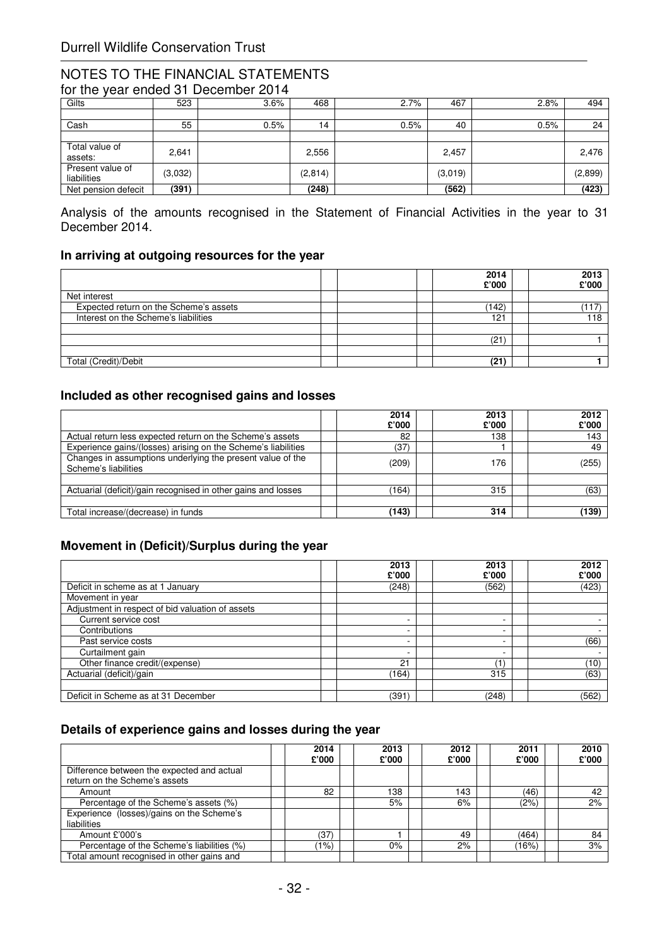| <u>IUI LIIG VGAI GIIUGU UT DECEIIIDEI ZUTT</u> |         |      |         |      |         |      |         |
|------------------------------------------------|---------|------|---------|------|---------|------|---------|
| Gilts                                          | 523     | 3.6% | 468     | 2.7% | 467     | 2.8% | 494     |
|                                                |         |      |         |      |         |      |         |
| Cash                                           | 55      | 0.5% | 14      | 0.5% | 40      | 0.5% | 24      |
|                                                |         |      |         |      |         |      |         |
| Total value of<br>assets:                      | 2,641   |      | 2,556   |      | 2,457   |      | 2,476   |
| Present value of<br>liabilities                | (3,032) |      | (2,814) |      | (3,019) |      | (2,899) |
| Net pension defecit                            | (391)   |      | (248)   |      | (562)   |      | (423)   |

Analysis of the amounts recognised in the Statement of Financial Activities in the year to 31 December 2014.

## **In arriving at outgoing resources for the year**

|                                        |  | 2014<br>£'000 | 2013<br>£'000 |
|----------------------------------------|--|---------------|---------------|
| Net interest                           |  |               |               |
| Expected return on the Scheme's assets |  | (142)         | 117           |
| Interest on the Scheme's liabilities   |  | 121           | 118           |
|                                        |  |               |               |
|                                        |  | (21           |               |
|                                        |  |               |               |
| Total (Credit)/Debit                   |  | (21)          |               |

### **Included as other recognised gains and losses**

|                                                                                    | 2014<br>£'000 | 2013<br>£'000 | 2012<br>£'000 |
|------------------------------------------------------------------------------------|---------------|---------------|---------------|
| Actual return less expected return on the Scheme's assets                          | 82            | 138           | 143           |
| Experience gains/(losses) arising on the Scheme's liabilities                      | (37)          |               | 49            |
| Changes in assumptions underlying the present value of the<br>Scheme's liabilities | (209)         | 176           | (255)         |
|                                                                                    |               |               |               |
| Actuarial (deficit)/gain recognised in other gains and losses                      | (164)         | 315           | (63)          |
|                                                                                    |               |               |               |
| Total increase/(decrease) in funds                                                 | (143)         | 314           | (139)         |

# **Movement in (Deficit)/Surplus during the year**

|                                                  | 2013<br>£'000 | 2013<br>£'000 | 2012<br>£'000 |
|--------------------------------------------------|---------------|---------------|---------------|
| Deficit in scheme as at 1 January                | (248)         | (562)         | (423)         |
| Movement in year                                 |               |               |               |
| Adjustment in respect of bid valuation of assets |               |               |               |
| Current service cost                             |               |               |               |
| Contributions                                    |               |               |               |
| Past service costs                               | -             |               | (66)          |
| Curtailment gain                                 | -             |               |               |
| Other finance credit/(expense)                   | 21            |               | (10)          |
| Actuarial (deficit)/gain                         | (164)         | 315           | (63)          |
|                                                  |               |               |               |
| Deficit in Scheme as at 31 December              | (391)         | (248)         | (562)         |

# **Details of experience gains and losses during the year**

|                                            | 2014  | 2013  | 2012  | 2011  | 2010  |
|--------------------------------------------|-------|-------|-------|-------|-------|
|                                            | £'000 | £'000 | £'000 | £'000 | £'000 |
| Difference between the expected and actual |       |       |       |       |       |
| return on the Scheme's assets              |       |       |       |       |       |
| Amount                                     | 82    | 138   | 143   | (46)  | 42    |
| Percentage of the Scheme's assets (%)      |       | 5%    | 6%    | (2%   | 2%    |
| Experience (losses)/gains on the Scheme's  |       |       |       |       |       |
| liabilities                                |       |       |       |       |       |
| Amount £'000's                             | (37   |       | 49    | (464) | 84    |
| Percentage of the Scheme's liabilities (%) | 1%)   | 0%    | 2%    | 16%   | 3%    |
| Total amount recognised in other gains and |       |       |       |       |       |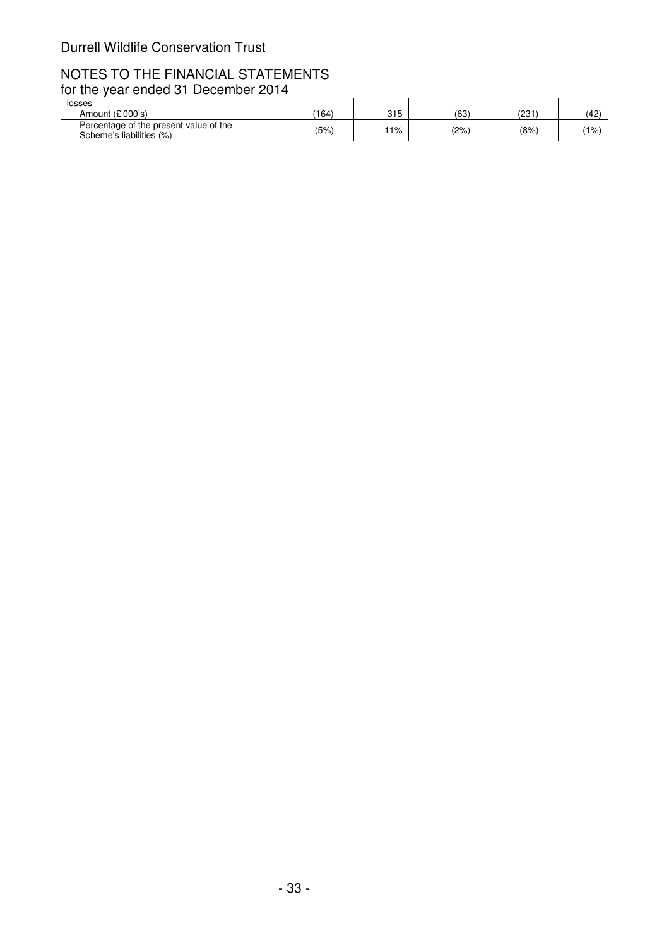| .<br>_ _                                                           |       |      |     |       |                |
|--------------------------------------------------------------------|-------|------|-----|-------|----------------|
| losses                                                             |       |      |     |       |                |
| Amount $(E'000's)$                                                 | (164) | 315  | (63 | (231) | (42)           |
| Percentage of the present value of the<br>Scheme's liabilities (%) | (5%)  | ີ 1% | 2%  | (8%)  | $^{\prime}1\%$ |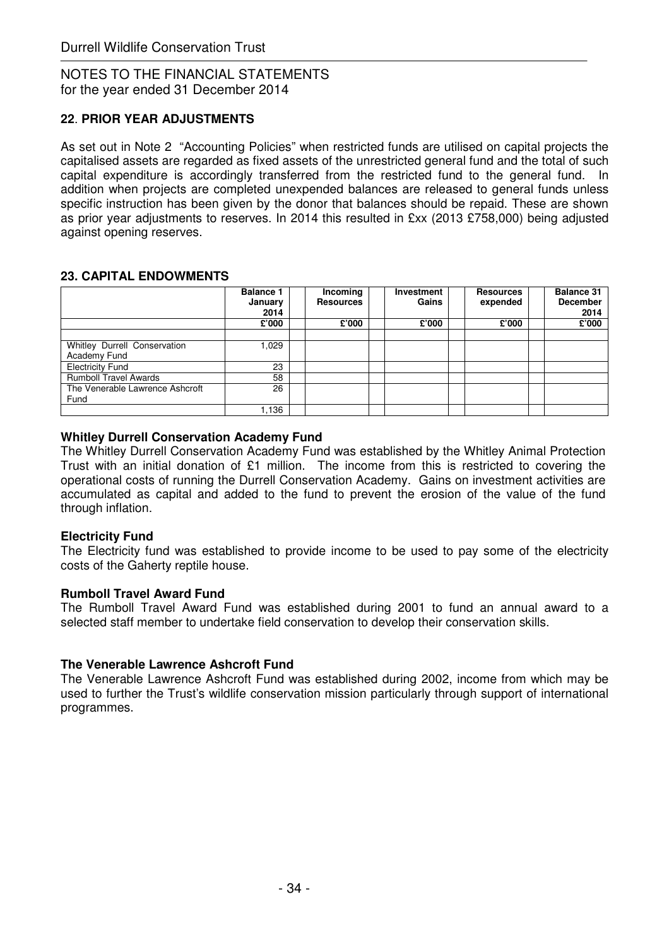# **22**. **PRIOR YEAR ADJUSTMENTS**

As set out in Note 2 "Accounting Policies" when restricted funds are utilised on capital projects the capitalised assets are regarded as fixed assets of the unrestricted general fund and the total of such capital expenditure is accordingly transferred from the restricted fund to the general fund. In addition when projects are completed unexpended balances are released to general funds unless specific instruction has been given by the donor that balances should be repaid. These are shown as prior year adjustments to reserves. In 2014 this resulted in £xx (2013 £758,000) being adjusted against opening reserves.

## **23. CAPITAL ENDOWMENTS**

|                                 | <b>Balance 1</b> | Incoming         | Investment | <b>Resources</b> | <b>Balance 31</b> |
|---------------------------------|------------------|------------------|------------|------------------|-------------------|
|                                 | January          | <b>Resources</b> | Gains      | expended         | <b>December</b>   |
|                                 | 2014             |                  |            |                  | 2014              |
|                                 | £'000            | £'000            | £'000      | £'000            | £'000             |
|                                 |                  |                  |            |                  |                   |
| Whitley Durrell Conservation    | 1.029            |                  |            |                  |                   |
| Academy Fund                    |                  |                  |            |                  |                   |
| <b>Electricity Fund</b>         | 23               |                  |            |                  |                   |
| <b>Rumboll Travel Awards</b>    | 58               |                  |            |                  |                   |
| The Venerable Lawrence Ashcroft | 26               |                  |            |                  |                   |
| Fund                            |                  |                  |            |                  |                   |
|                                 | .136             |                  |            |                  |                   |

## **Whitley Durrell Conservation Academy Fund**

The Whitley Durrell Conservation Academy Fund was established by the Whitley Animal Protection Trust with an initial donation of £1 million. The income from this is restricted to covering the operational costs of running the Durrell Conservation Academy. Gains on investment activities are accumulated as capital and added to the fund to prevent the erosion of the value of the fund through inflation.

### **Electricity Fund**

The Electricity fund was established to provide income to be used to pay some of the electricity costs of the Gaherty reptile house.

### **Rumboll Travel Award Fund**

The Rumboll Travel Award Fund was established during 2001 to fund an annual award to a selected staff member to undertake field conservation to develop their conservation skills.

### **The Venerable Lawrence Ashcroft Fund**

The Venerable Lawrence Ashcroft Fund was established during 2002, income from which may be used to further the Trust's wildlife conservation mission particularly through support of international programmes.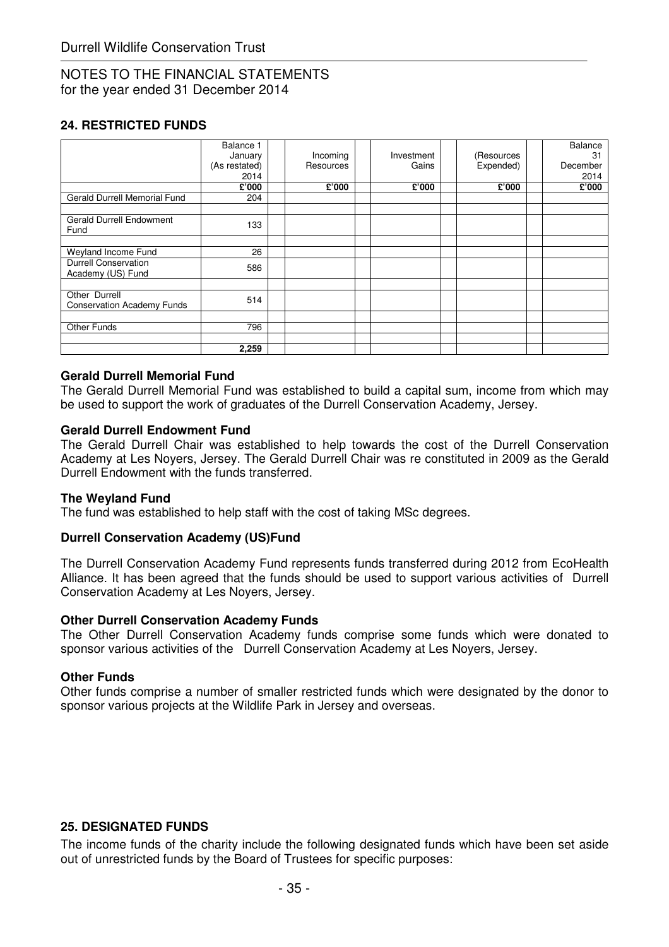# **24. RESTRICTED FUNDS**

|                                                    | Balance 1<br>January<br>(As restated)<br>2014 | Incoming<br>Resources | Investment<br>Gains | (Resources<br>Expended) | Balance<br>31<br>December<br>2014 |
|----------------------------------------------------|-----------------------------------------------|-----------------------|---------------------|-------------------------|-----------------------------------|
|                                                    | £'000                                         | £'000                 | £'000               | £'000                   | £'000                             |
| Gerald Durrell Memorial Fund                       | 204                                           |                       |                     |                         |                                   |
|                                                    |                                               |                       |                     |                         |                                   |
| <b>Gerald Durrell Endowment</b><br>Fund            | 133                                           |                       |                     |                         |                                   |
|                                                    |                                               |                       |                     |                         |                                   |
| Weyland Income Fund                                | 26                                            |                       |                     |                         |                                   |
| <b>Durrell Conservation</b><br>Academy (US) Fund   | 586                                           |                       |                     |                         |                                   |
|                                                    |                                               |                       |                     |                         |                                   |
| Other Durrell<br><b>Conservation Academy Funds</b> | 514                                           |                       |                     |                         |                                   |
|                                                    |                                               |                       |                     |                         |                                   |
| Other Funds                                        | 796                                           |                       |                     |                         |                                   |
|                                                    |                                               |                       |                     |                         |                                   |
|                                                    | 2,259                                         |                       |                     |                         |                                   |

## **Gerald Durrell Memorial Fund**

The Gerald Durrell Memorial Fund was established to build a capital sum, income from which may be used to support the work of graduates of the Durrell Conservation Academy, Jersey.

### **Gerald Durrell Endowment Fund**

The Gerald Durrell Chair was established to help towards the cost of the Durrell Conservation Academy at Les Noyers, Jersey. The Gerald Durrell Chair was re constituted in 2009 as the Gerald Durrell Endowment with the funds transferred.

### **The Weyland Fund**

The fund was established to help staff with the cost of taking MSc degrees.

### **Durrell Conservation Academy (US)Fund**

The Durrell Conservation Academy Fund represents funds transferred during 2012 from EcoHealth Alliance. It has been agreed that the funds should be used to support various activities of Durrell Conservation Academy at Les Noyers, Jersey.

### **Other Durrell Conservation Academy Funds**

The Other Durrell Conservation Academy funds comprise some funds which were donated to sponsor various activities of the Durrell Conservation Academy at Les Noyers, Jersey.

### **Other Funds**

Other funds comprise a number of smaller restricted funds which were designated by the donor to sponsor various projects at the Wildlife Park in Jersey and overseas.

### **25. DESIGNATED FUNDS**

The income funds of the charity include the following designated funds which have been set aside out of unrestricted funds by the Board of Trustees for specific purposes: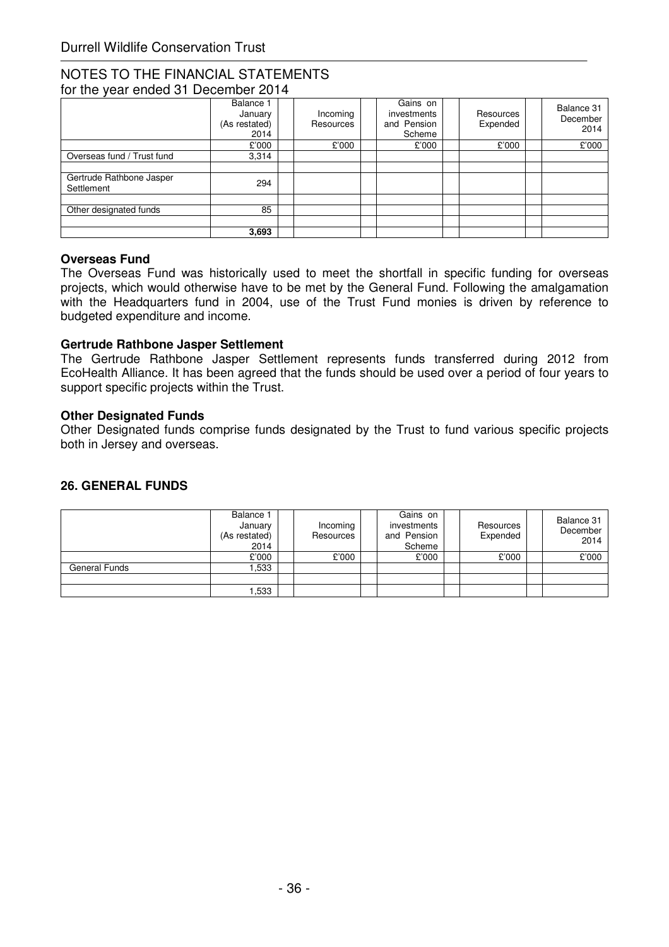|                                        | Balance 1<br>January<br>(As restated)<br>2014 | Incoming<br>Resources | Gains on<br>investments<br>and Pension<br>Scheme | Resources<br>Expended | Balance 31<br>December<br>2014 |
|----------------------------------------|-----------------------------------------------|-----------------------|--------------------------------------------------|-----------------------|--------------------------------|
|                                        | £'000                                         | £'000                 | £'000                                            | £'000                 | £'000                          |
| Overseas fund / Trust fund             | 3,314                                         |                       |                                                  |                       |                                |
|                                        |                                               |                       |                                                  |                       |                                |
| Gertrude Rathbone Jasper<br>Settlement | 294                                           |                       |                                                  |                       |                                |
|                                        |                                               |                       |                                                  |                       |                                |
| Other designated funds                 | 85                                            |                       |                                                  |                       |                                |
|                                        |                                               |                       |                                                  |                       |                                |
|                                        | 3,693                                         |                       |                                                  |                       |                                |

## **Overseas Fund**

The Overseas Fund was historically used to meet the shortfall in specific funding for overseas projects, which would otherwise have to be met by the General Fund. Following the amalgamation with the Headquarters fund in 2004, use of the Trust Fund monies is driven by reference to budgeted expenditure and income.

## **Gertrude Rathbone Jasper Settlement**

The Gertrude Rathbone Jasper Settlement represents funds transferred during 2012 from EcoHealth Alliance. It has been agreed that the funds should be used over a period of four years to support specific projects within the Trust.

## **Other Designated Funds**

Other Designated funds comprise funds designated by the Trust to fund various specific projects both in Jersey and overseas.

# **26. GENERAL FUNDS**

|               | Balance 1<br>January<br>(As restated)<br>2014 | Incoming<br>Resources | Gains on<br>investments<br>and Pension<br>Scheme | Resources<br>Expended | Balance 31<br>December<br>2014 |
|---------------|-----------------------------------------------|-----------------------|--------------------------------------------------|-----------------------|--------------------------------|
|               | £'000                                         | £'000                 | £'000                                            | £'000                 | £'000                          |
| General Funds | .533                                          |                       |                                                  |                       |                                |
|               |                                               |                       |                                                  |                       |                                |
|               | .533                                          |                       |                                                  |                       |                                |